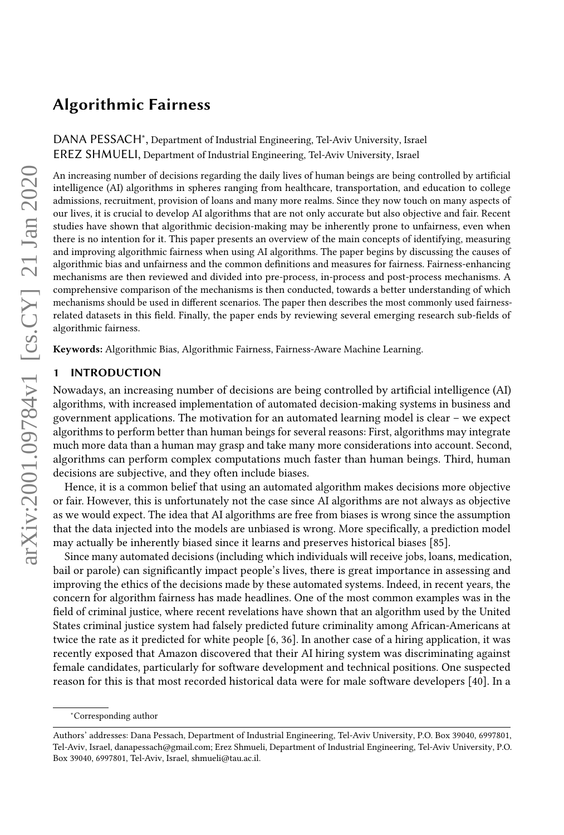<span id="page-0-0"></span>DANA PESSACH<sup>\*</sup>, Department of Industrial Engineering, Tel-Aviv University, Israel EREZ SHMUELI, Department of Industrial Engineering, Tel-Aviv University, Israel

An increasing number of decisions regarding the daily lives of human beings are being controlled by artificial intelligence (AI) algorithms in spheres ranging from healthcare, transportation, and education to college admissions, recruitment, provision of loans and many more realms. Since they now touch on many aspects of our lives, it is crucial to develop AI algorithms that are not only accurate but also objective and fair. Recent studies have shown that algorithmic decision-making may be inherently prone to unfairness, even when there is no intention for it. This paper presents an overview of the main concepts of identifying, measuring and improving algorithmic fairness when using AI algorithms. The paper begins by discussing the causes of algorithmic bias and unfairness and the common definitions and measures for fairness. Fairness-enhancing mechanisms are then reviewed and divided into pre-process, in-process and post-process mechanisms. A comprehensive comparison of the mechanisms is then conducted, towards a better understanding of which mechanisms should be used in different scenarios. The paper then describes the most commonly used fairnessrelated datasets in this field. Finally, the paper ends by reviewing several emerging research sub-fields of algorithmic fairness.

Keywords: Algorithmic Bias, Algorithmic Fairness, Fairness-Aware Machine Learning.

#### 1 INTRODUCTION

Nowadays, an increasing number of decisions are being controlled by artificial intelligence (AI) algorithms, with increased implementation of automated decision-making systems in business and government applications. The motivation for an automated learning model is clear – we expect algorithms to perform better than human beings for several reasons: First, algorithms may integrate much more data than a human may grasp and take many more considerations into account. Second, algorithms can perform complex computations much faster than human beings. Third, human decisions are subjective, and they often include biases.

Hence, it is a common belief that using an automated algorithm makes decisions more objective or fair. However, this is unfortunately not the case since AI algorithms are not always as objective as we would expect. The idea that AI algorithms are free from biases is wrong since the assumption that the data injected into the models are unbiased is wrong. More specifically, a prediction model may actually be inherently biased since it learns and preserves historical biases [\[85\]](#page-22-0).

Since many automated decisions (including which individuals will receive jobs, loans, medication, bail or parole) can significantly impact people's lives, there is great importance in assessing and improving the ethics of the decisions made by these automated systems. Indeed, in recent years, the concern for algorithm fairness has made headlines. One of the most common examples was in the field of criminal justice, where recent revelations have shown that an algorithm used by the United States criminal justice system had falsely predicted future criminality among African-Americans at twice the rate as it predicted for white people [\[6,](#page-20-0) [36\]](#page-21-0). In another case of a hiring application, it was recently exposed that Amazon discovered that their AI hiring system was discriminating against female candidates, particularly for software development and technical positions. One suspected reason for this is that most recorded historical data were for male software developers [\[40\]](#page-21-1). In a

<sup>∗</sup>Corresponding author

Authors' addresses: Dana Pessach, Department of Industrial Engineering, Tel-Aviv University, P.O. Box 39040, 6997801, Tel-Aviv, Israel, danapessach@gmail.com; Erez Shmueli, Department of Industrial Engineering, Tel-Aviv University, P.O. Box 39040, 6997801, Tel-Aviv, Israel, shmueli@tau.ac.il.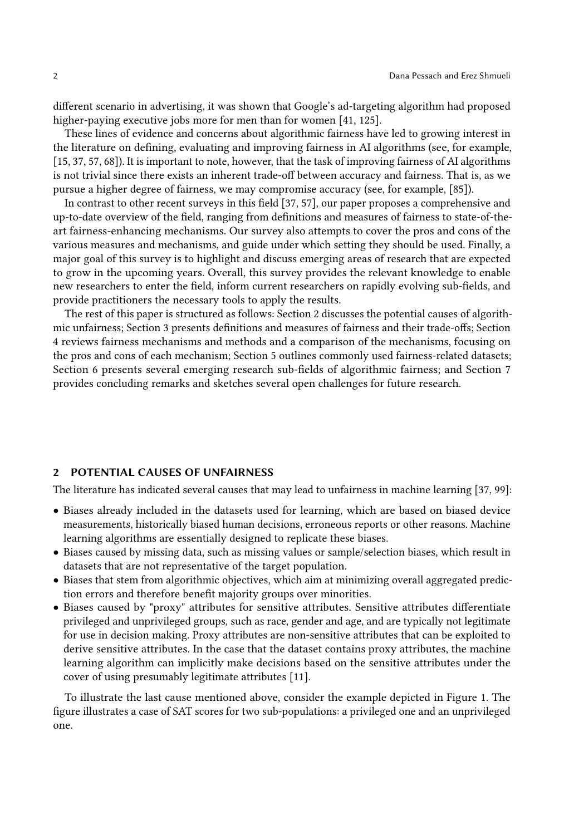different scenario in advertising, it was shown that Google's ad-targeting algorithm had proposed higher-paying executive jobs more for men than for women [\[41,](#page-21-2) [125\]](#page-24-0).

These lines of evidence and concerns about algorithmic fairness have led to growing interest in the literature on defining, evaluating and improving fairness in AI algorithms (see, for example, [\[15,](#page-20-1) [37,](#page-21-3) [57,](#page-21-4) [68\]](#page-22-1)). It is important to note, however, that the task of improving fairness of AI algorithms is not trivial since there exists an inherent trade-off between accuracy and fairness. That is, as we pursue a higher degree of fairness, we may compromise accuracy (see, for example, [\[85\]](#page-22-0)).

In contrast to other recent surveys in this field [\[37,](#page-21-3) [57\]](#page-21-4), our paper proposes a comprehensive and up-to-date overview of the field, ranging from definitions and measures of fairness to state-of-theart fairness-enhancing mechanisms. Our survey also attempts to cover the pros and cons of the various measures and mechanisms, and guide under which setting they should be used. Finally, a major goal of this survey is to highlight and discuss emerging areas of research that are expected to grow in the upcoming years. Overall, this survey provides the relevant knowledge to enable new researchers to enter the field, inform current researchers on rapidly evolving sub-fields, and provide practitioners the necessary tools to apply the results.

The rest of this paper is structured as follows: Section [2](#page-1-0) discusses the potential causes of algorithmic unfairness; Section [3](#page-2-0) presents definitions and measures of fairness and their trade-offs; Section [4](#page-6-0) reviews fairness mechanisms and methods and a comparison of the mechanisms, focusing on the pros and cons of each mechanism; Section [5](#page-10-0) outlines commonly used fairness-related datasets; Section [6](#page-12-0) presents several emerging research sub-fields of algorithmic fairness; and Section [7](#page-19-0) provides concluding remarks and sketches several open challenges for future research.

### <span id="page-1-0"></span>2 POTENTIAL CAUSES OF UNFAIRNESS

The literature has indicated several causes that may lead to unfairness in machine learning [\[37,](#page-21-3) [99\]](#page-23-0):

- Biases already included in the datasets used for learning, which are based on biased device measurements, historically biased human decisions, erroneous reports or other reasons. Machine learning algorithms are essentially designed to replicate these biases.
- Biases caused by missing data, such as missing values or sample/selection biases, which result in datasets that are not representative of the target population.
- Biases that stem from algorithmic objectives, which aim at minimizing overall aggregated prediction errors and therefore benefit majority groups over minorities.
- Biases caused by "proxy" attributes for sensitive attributes. Sensitive attributes differentiate privileged and unprivileged groups, such as race, gender and age, and are typically not legitimate for use in decision making. Proxy attributes are non-sensitive attributes that can be exploited to derive sensitive attributes. In the case that the dataset contains proxy attributes, the machine learning algorithm can implicitly make decisions based on the sensitive attributes under the cover of using presumably legitimate attributes [\[11\]](#page-20-2).

To illustrate the last cause mentioned above, consider the example depicted in Figure [1.](#page-2-1) The figure illustrates a case of SAT scores for two sub-populations: a privileged one and an unprivileged one.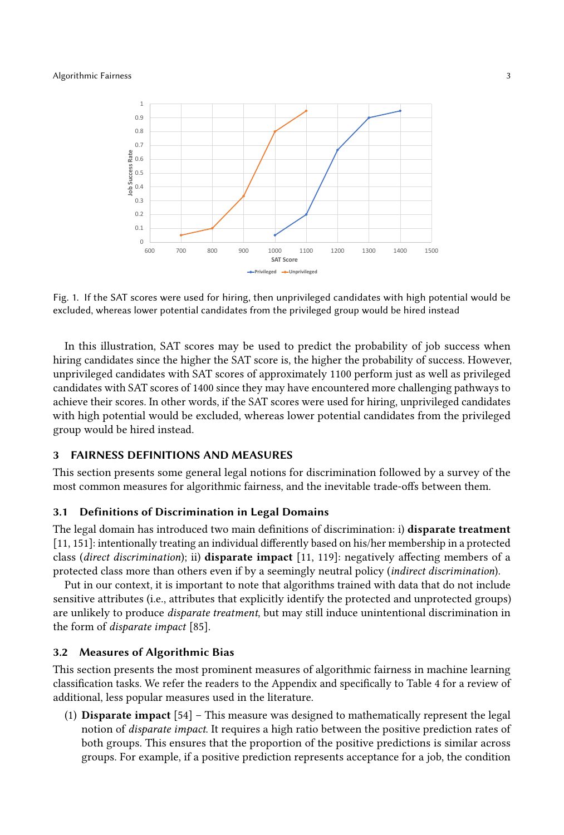<span id="page-2-1"></span>

Fig. 1. If the SAT scores were used for hiring, then unprivileged candidates with high potential would be excluded, whereas lower potential candidates from the privileged group would be hired instead

In this illustration, SAT scores may be used to predict the probability of job success when hiring candidates since the higher the SAT score is, the higher the probability of success. However, unprivileged candidates with SAT scores of approximately 1100 perform just as well as privileged candidates with SAT scores of 1400 since they may have encountered more challenging pathways to achieve their scores. In other words, if the SAT scores were used for hiring, unprivileged candidates with high potential would be excluded, whereas lower potential candidates from the privileged group would be hired instead.

### <span id="page-2-0"></span>3 FAIRNESS DEFINITIONS AND MEASURES

This section presents some general legal notions for discrimination followed by a survey of the most common measures for algorithmic fairness, and the inevitable trade-offs between them.

#### 3.1 Definitions of Discrimination in Legal Domains

The legal domain has introduced two main definitions of discrimination: i) disparate treatment [\[11,](#page-20-2) [151\]](#page-25-0): intentionally treating an individual differently based on his/her membership in a protected class (direct discrimination); ii) disparate impact [\[11,](#page-20-2) [119\]](#page-24-1): negatively affecting members of a protected class more than others even if by a seemingly neutral policy (indirect discrimination).

Put in our context, it is important to note that algorithms trained with data that do not include sensitive attributes (i.e., attributes that explicitly identify the protected and unprotected groups) are unlikely to produce disparate treatment, but may still induce unintentional discrimination in the form of disparate impact [\[85\]](#page-22-0).

### 3.2 Measures of Algorithmic Bias

This section presents the most prominent measures of algorithmic fairness in machine learning classification tasks. We refer the readers to the Appendix and specifically to Table [4](#page-29-0) for a review of additional, less popular measures used in the literature.

(1) Disparate impact [\[54\]](#page-21-5) – This measure was designed to mathematically represent the legal notion of disparate impact. It requires a high ratio between the positive prediction rates of both groups. This ensures that the proportion of the positive predictions is similar across groups. For example, if a positive prediction represents acceptance for a job, the condition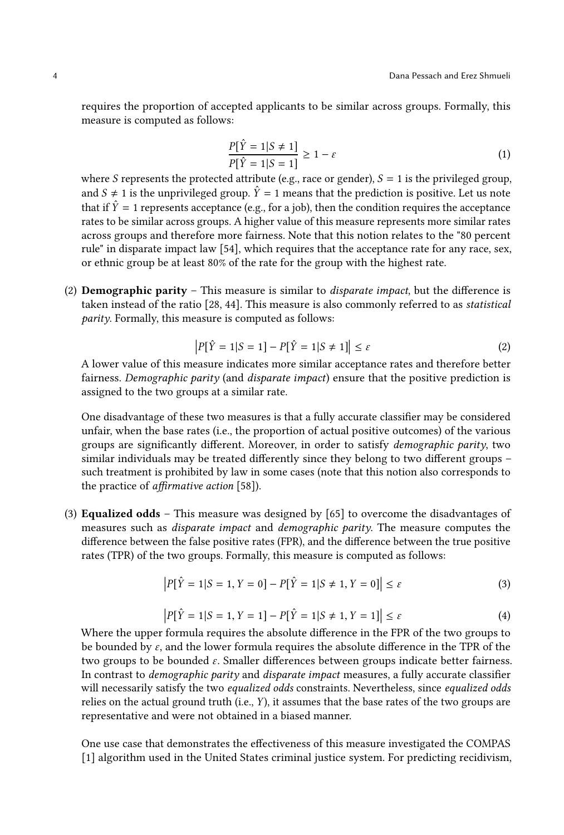requires the proportion of accepted applicants to be similar across groups. Formally, this measure is computed as follows:

$$
\frac{P[\hat{Y} = 1|S \neq 1]}{P[\hat{Y} = 1|S = 1]} \ge 1 - \varepsilon
$$
\n(d)

where S represents the protected attribute (e.g., race or gender),  $S = 1$  is the privileged group,<br>and  $S \neq 1$  is the unprivileged group,  $\hat{Y} = 1$  means that the prediction is positive. Let us note and  $S \neq 1$  is the unprivileged group.  $\hat{Y} = 1$  means that the prediction is positive. Let us note that if  $\hat{Y} = 1$  represents acceptance (e.g., for a job), then the condition requires the acceptance rates to be similar across groups. A higher value of this measure represents more similar rates across groups and therefore more fairness. Note that this notion relates to the "80 percent rule" in disparate impact law [\[54\]](#page-21-5), which requires that the acceptance rate for any race, sex, or ethnic group be at least 80% of the rate for the group with the highest rate.

(2) **Demographic parity** – This measure is similar to *disparate impact*, but the difference is taken instead of the ratio [\[28,](#page-20-3) [44\]](#page-21-6). This measure is also commonly referred to as statistical parity. Formally, this measure is computed as follows:

$$
|P[\hat{Y} = 1|S = 1] - P[\hat{Y} = 1|S \neq 1]| \le \varepsilon
$$
 (2)

 $|P[\hat{Y} = 1|S = 1] - P[\hat{Y} = 1|S \neq 1]| \leq \varepsilon$  (2)<br>A lower value of this measure indicates more similar acceptance rates and therefore better fairness. Demographic parity (and disparate impact) ensure that the positive prediction is assigned to the two groups at a similar rate.

One disadvantage of these two measures is that a fully accurate classifier may be considered unfair, when the base rates (i.e., the proportion of actual positive outcomes) of the various groups are significantly different. Moreover, in order to satisfy demographic parity, two similar individuals may be treated differently since they belong to two different groups – such treatment is prohibited by law in some cases (note that this notion also corresponds to the practice of affirmative action [\[58\]](#page-21-7)).

(3) Equalized odds – This measure was designed by [\[65\]](#page-22-2) to overcome the disadvantages of measures such as disparate impact and demographic parity. The measure computes the difference between the false positive rates (FPR), and the difference between the true positive rates (TPR) of the two groups. Formally, this measure is computed as follows:

$$
|P[\hat{Y} = 1|S = 1, Y = 0] - P[\hat{Y} = 1|S \neq 1, Y = 0]| \le \varepsilon
$$
\n(3)

$$
|P[\hat{Y} = 1|S = 1, Y = 1] - P[\hat{Y} = 1|S \neq 1, Y = 1]| \le \varepsilon
$$
\n(4)

 $|P[\hat{Y} = 1|S = 1, Y = 1] - P[\hat{Y} = 1|S \neq 1, Y = 1]| \le \varepsilon$  (4)<br>Where the upper formula requires the absolute difference in the FPR of the two groups to be bounded by  $\varepsilon$ , and the lower formula requires the absolute difference in the TPR of the two groups to be bounded  $\varepsilon$ . Smaller differences between groups indicate better fairness. In contrast to demographic parity and disparate impact measures, a fully accurate classifier will necessarily satisfy the two equalized odds constraints. Nevertheless, since equalized odds relies on the actual ground truth (i.e., Y), it assumes that the base rates of the two groups are representative and were not obtained in a biased manner.

One use case that demonstrates the effectiveness of this measure investigated the COMPAS [\[1\]](#page-19-1) algorithm used in the United States criminal justice system. For predicting recidivism,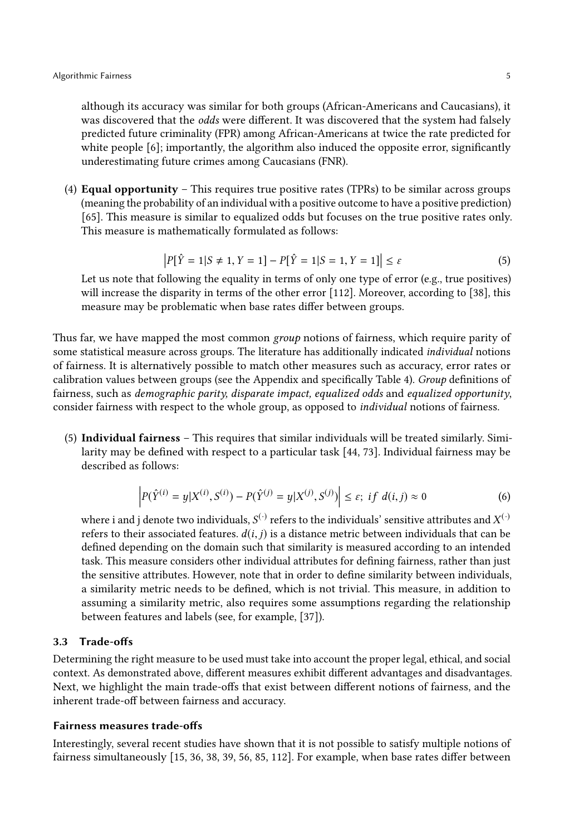although its accuracy was similar for both groups (African-Americans and Caucasians), it was discovered that the odds were different. It was discovered that the system had falsely predicted future criminality (FPR) among African-Americans at twice the rate predicted for white people [\[6\]](#page-20-0); importantly, the algorithm also induced the opposite error, significantly underestimating future crimes among Caucasians (FNR).

(4) **Equal opportunity** – This requires true positive rates (TPRs) to be similar across groups (meaning the probability of an individual with a positive outcome to have a positive prediction) [\[65\]](#page-22-2). This measure is similar to equalized odds but focuses on the true positive rates only. This measure is mathematically formulated as follows:

$$
|P[\hat{Y} = 1|S \neq 1, Y = 1] - P[\hat{Y} = 1|S = 1, Y = 1]| \le \varepsilon
$$
\n(5)

Let us note that following the equality in terms of only one type of error (e.g., true positives) will increase the disparity in terms of the other error [\[112\]](#page-23-1). Moreover, according to [\[38\]](#page-21-8), this measure may be problematic when base rates differ between groups.

Thus far, we have mapped the most common group notions of fairness, which require parity of some statistical measure across groups. The literature has additionally indicated *individual* notions of fairness. It is alternatively possible to match other measures such as accuracy, error rates or calibration values between groups (see the Appendix and specifically Table [4\)](#page-29-0). Group definitions of fairness, such as demographic parity, disparate impact, equalized odds and equalized opportunity, consider fairness with respect to the whole group, as opposed to individual notions of fairness.

(5) Individual fairness – This requires that similar individuals will be treated similarly. Similarity may be defined with respect to a particular task [\[44,](#page-21-6) [73\]](#page-22-3). Individual fairness may be described as follows:

$$
\left| P(\hat{Y}^{(i)} = y | X^{(i)}, S^{(i)}) - P(\hat{Y}^{(j)} = y | X^{(j)}, S^{(j)}) \right| \le \varepsilon; \text{ if } d(i, j) \approx 0 \tag{6}
$$

where i and j denote two individuals,  $S^{(\cdot)}$  refers to the individuals' sensitive attributes and  $X^{(\cdot)}$ <br>refers to their associated features,  $d(i, i)$  is a distance metric between individuals that can be refers to their associated features.  $d(i, j)$  is a distance metric between individuals that can be defined depending on the domain such that similarity is measured according to an intended task. This measure considers other individual attributes for defining fairness, rather than just the sensitive attributes. However, note that in order to define similarity between individuals, a similarity metric needs to be defined, which is not trivial. This measure, in addition to assuming a similarity metric, also requires some assumptions regarding the relationship between features and labels (see, for example, [\[37\]](#page-21-3)).

### 3.3 Trade-offs

Determining the right measure to be used must take into account the proper legal, ethical, and social context. As demonstrated above, different measures exhibit different advantages and disadvantages. Next, we highlight the main trade-offs that exist between different notions of fairness, and the inherent trade-off between fairness and accuracy.

### Fairness measures trade-offs

Interestingly, several recent studies have shown that it is not possible to satisfy multiple notions of fairness simultaneously [\[15,](#page-20-1) [36,](#page-21-0) [38,](#page-21-8) [39,](#page-21-9) [56,](#page-21-10) [85,](#page-22-0) [112\]](#page-23-1). For example, when base rates differ between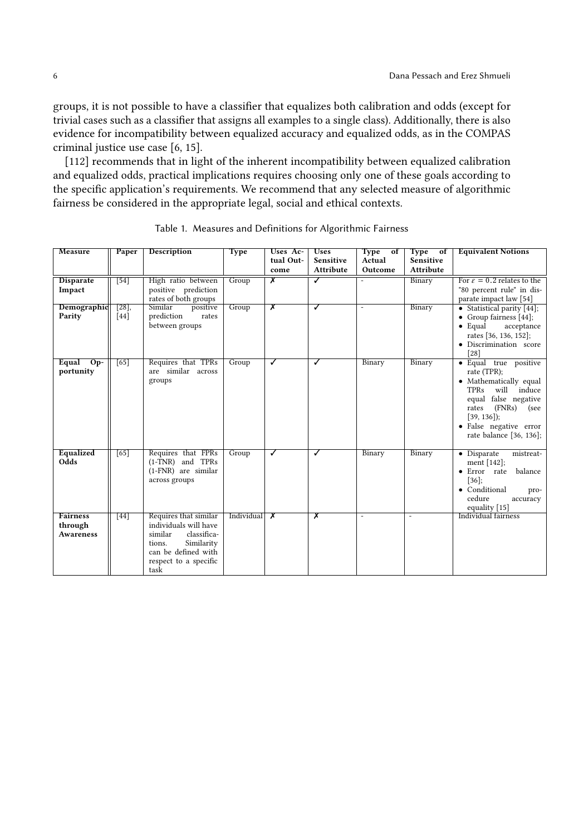groups, it is not possible to have a classifier that equalizes both calibration and odds (except for trivial cases such as a classifier that assigns all examples to a single class). Additionally, there is also evidence for incompatibility between equalized accuracy and equalized odds, as in the COMPAS criminal justice use case [\[6,](#page-20-0) [15\]](#page-20-1).

[\[112\]](#page-23-1) recommends that in light of the inherent incompatibility between equalized calibration and equalized odds, practical implications requires choosing only one of these goals according to the specific application's requirements. We recommend that any selected measure of algorithmic fairness be considered in the appropriate legal, social and ethical contexts.

<span id="page-5-0"></span>

| Measure                                        | Paper                       | <b>Description</b>                                                                                                                                       | <b>Type</b> | Uses Ac-<br>tual Out-<br>come | <b>Uses</b><br><b>Sensitive</b><br><b>Attribute</b> | Type of<br>Actual<br>Outcome | <b>Type</b><br>$\sigma$<br><b>Sensitive</b><br><b>Attribute</b> | <b>Equivalent Notions</b>                                                                                                                                                                                             |
|------------------------------------------------|-----------------------------|----------------------------------------------------------------------------------------------------------------------------------------------------------|-------------|-------------------------------|-----------------------------------------------------|------------------------------|-----------------------------------------------------------------|-----------------------------------------------------------------------------------------------------------------------------------------------------------------------------------------------------------------------|
| <b>Disparate</b><br>Impact                     | $[54]$                      | High ratio between<br>positive prediction<br>rates of both groups                                                                                        | Group       | $\overline{\mathsf{x}}$       | ✓                                                   | $\overline{\phantom{0}}$     | Binary                                                          | For $\varepsilon = 0.2$ relates to the<br>"80 percent rule" in dis-<br>parate impact law [54]                                                                                                                         |
| Demographic<br>Parity                          | $\overline{[28]}$<br>$[44]$ | Similar<br>positive<br>prediction<br>rates<br>between groups                                                                                             | Group       | $\overline{\mathsf{x}}$       | ✓                                                   | $\overline{a}$               | Binary                                                          | • Statistical parity [44];<br>• Group fairness $[44]$ ;<br>$\bullet$ Equal<br>acceptance<br>rates [36, 136, 152];<br>· Discrimination score<br>[28]                                                                   |
| Equal Op-<br>portunity                         | [65]                        | Requires that TPRs<br>are similar across<br>groups                                                                                                       | Group       | ✓                             | ✓                                                   | Binary                       | Binary                                                          | · Equal true positive<br>rate (TPR);<br>• Mathematically equal<br>will induce<br><b>TPRs</b><br>equal false negative<br>(FNRs)<br>rates<br>(see<br>$[39, 136]$ ;<br>· False negative error<br>rate balance [36, 136]; |
| Equalized<br>Odds                              | $\overline{65}$             | Requires that FPRs<br>(1-TNR) and TPRs<br>(1-FNR) are similar<br>across groups                                                                           | Group       | ✓                             | ✓                                                   | Binary                       | Binary                                                          | • Disparate<br>mistreat-<br>ment [142];<br>• Error rate<br>balance<br>$[36]$ ;<br>• Conditional<br>pro-<br>cedure<br>accuracy<br>equality [15]                                                                        |
| <b>Fairness</b><br>through<br><b>Awareness</b> | $\sqrt{44}$                 | Requires that similar<br>individuals will have<br>classifica-<br>similar<br>Similarity<br>tions.<br>can be defined with<br>respect to a specific<br>task | Individual  | $\overline{\mathbf{x}}$       | $\overline{\mathsf{x}}$                             | $\overline{a}$               | $\overline{a}$                                                  | Individual fairness                                                                                                                                                                                                   |

Table 1. Measures and Definitions for Algorithmic Fairness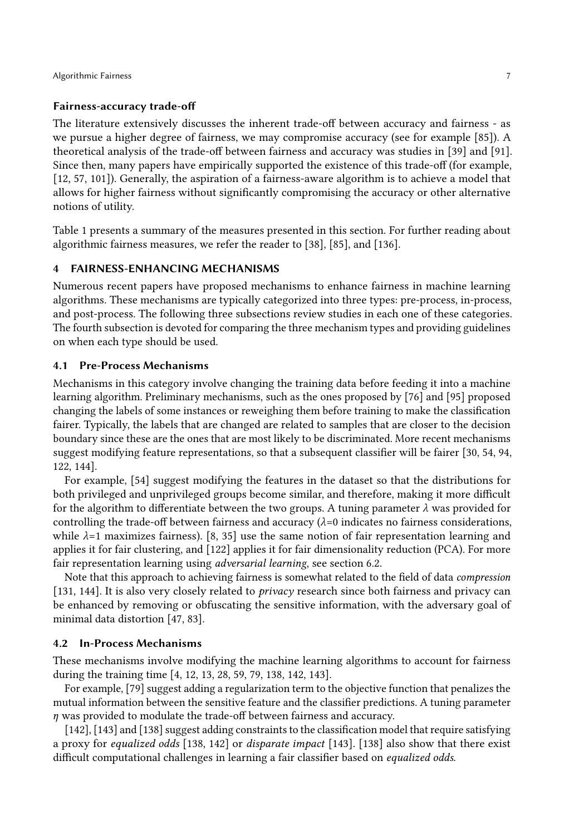### Fairness-accuracy trade-off

The literature extensively discusses the inherent trade-off between accuracy and fairness - as we pursue a higher degree of fairness, we may compromise accuracy (see for example [\[85\]](#page-22-0)). A theoretical analysis of the trade-off between fairness and accuracy was studies in [\[39\]](#page-21-9) and [\[91\]](#page-23-2). Since then, many papers have empirically supported the existence of this trade-off (for example, [\[12,](#page-20-4) [57,](#page-21-4) [101\]](#page-23-3)). Generally, the aspiration of a fairness-aware algorithm is to achieve a model that allows for higher fairness without significantly compromising the accuracy or other alternative notions of utility.

Table [1](#page-5-0) presents a summary of the measures presented in this section. For further reading about algorithmic fairness measures, we refer the reader to [\[38\]](#page-21-8), [\[85\]](#page-22-0), and [\[136\]](#page-24-2).

### <span id="page-6-0"></span>4 FAIRNESS-ENHANCING MECHANISMS

Numerous recent papers have proposed mechanisms to enhance fairness in machine learning algorithms. These mechanisms are typically categorized into three types: pre-process, in-process, and post-process. The following three subsections review studies in each one of these categories. The fourth subsection is devoted for comparing the three mechanism types and providing guidelines on when each type should be used.

### 4.1 Pre-Process Mechanisms

Mechanisms in this category involve changing the training data before feeding it into a machine learning algorithm. Preliminary mechanisms, such as the ones proposed by [\[76\]](#page-22-4) and [\[95\]](#page-23-4) proposed changing the labels of some instances or reweighing them before training to make the classification fairer. Typically, the labels that are changed are related to samples that are closer to the decision boundary since these are the ones that are most likely to be discriminated. More recent mechanisms suggest modifying feature representations, so that a subsequent classifier will be fairer [\[30,](#page-20-5) [54,](#page-21-5) [94,](#page-23-5) [122,](#page-24-3) [144\]](#page-25-3).

For example, [\[54\]](#page-21-5) suggest modifying the features in the dataset so that the distributions for both privileged and unprivileged groups become similar, and therefore, making it more difficult for the algorithm to differentiate between the two groups. A tuning parameter  $\lambda$  was provided for controlling the trade-off between fairness and accuracy  $(\lambda = 0$  indicates no fairness considerations, while  $\lambda$ =1 maximizes fairness). [\[8,](#page-20-6) [35\]](#page-21-11) use the same notion of fair representation learning and applies it for fair clustering, and [\[122\]](#page-24-3) applies it for fair dimensionality reduction (PCA). For more fair representation learning using adversarial learning, see section [6.2.](#page-13-0)

Note that this approach to achieving fairness is somewhat related to the field of data compression [\[131,](#page-24-4) [144\]](#page-25-3). It is also very closely related to  $\frac{pri \nu a c v}{pri \nu a c v}$  research since both fairness and privacy can be enhanced by removing or obfuscating the sensitive information, with the adversary goal of minimal data distortion [\[47,](#page-21-12) [83\]](#page-22-5).

### 4.2 In-Process Mechanisms

These mechanisms involve modifying the machine learning algorithms to account for fairness during the training time [\[4,](#page-19-2) [12,](#page-20-4) [13,](#page-20-7) [28,](#page-20-3) [59,](#page-21-13) [79,](#page-22-6) [138,](#page-24-5) [142,](#page-25-2) [143\]](#page-25-4).

For example, [\[79\]](#page-22-6) suggest adding a regularization term to the objective function that penalizes the mutual information between the sensitive feature and the classifier predictions. A tuning parameter η was provided to modulate the trade-off between fairness and accuracy.

[\[142\]](#page-25-2), [\[143\]](#page-25-4) and [\[138\]](#page-24-5) suggest adding constraints to the classification model that require satisfying a proxy for equalized odds [\[138,](#page-24-5) [142\]](#page-25-2) or disparate impact [\[143\]](#page-25-4). [\[138\]](#page-24-5) also show that there exist difficult computational challenges in learning a fair classifier based on equalized odds.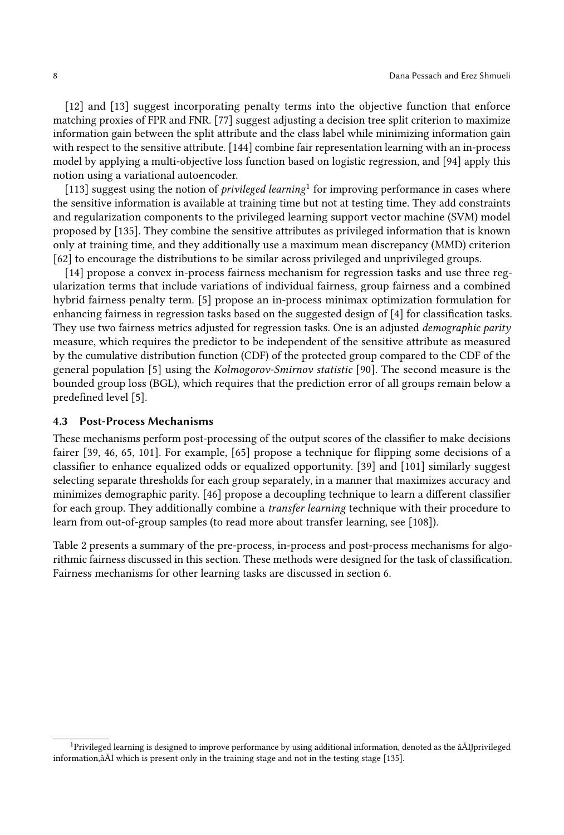[\[12\]](#page-20-4) and [\[13\]](#page-20-7) suggest incorporating penalty terms into the objective function that enforce matching proxies of FPR and FNR. [\[77\]](#page-22-7) suggest adjusting a decision tree split criterion to maximize information gain between the split attribute and the class label while minimizing information gain with respect to the sensitive attribute. [\[144\]](#page-25-3) combine fair representation learning with an in-process model by applying a multi-objective loss function based on logistic regression, and [\[94\]](#page-23-5) apply this notion using a variational autoencoder.

[\[113\]](#page-23-6) suggest using the notion of *privileged learning*<sup>[1](#page-0-0)</sup> for improving performance in cases where the sensitive information is available at training time but not at testing time. They add constraints and regularization components to the privileged learning support vector machine (SVM) model proposed by [\[135\]](#page-24-6). They combine the sensitive attributes as privileged information that is known only at training time, and they additionally use a maximum mean discrepancy (MMD) criterion [\[62\]](#page-22-8) to encourage the distributions to be similar across privileged and unprivileged groups.

[\[14\]](#page-20-8) propose a convex in-process fairness mechanism for regression tasks and use three regularization terms that include variations of individual fairness, group fairness and a combined hybrid fairness penalty term. [\[5\]](#page-20-9) propose an in-process minimax optimization formulation for enhancing fairness in regression tasks based on the suggested design of [\[4\]](#page-19-2) for classification tasks. They use two fairness metrics adjusted for regression tasks. One is an adjusted *demographic parity* measure, which requires the predictor to be independent of the sensitive attribute as measured by the cumulative distribution function (CDF) of the protected group compared to the CDF of the general population [\[5\]](#page-20-9) using the Kolmogorov-Smirnov statistic [\[90\]](#page-23-7). The second measure is the bounded group loss (BGL), which requires that the prediction error of all groups remain below a predefined level [\[5\]](#page-20-9).

### 4.3 Post-Process Mechanisms

These mechanisms perform post-processing of the output scores of the classifier to make decisions fairer [\[39,](#page-21-9) [46,](#page-21-14) [65,](#page-22-2) [101\]](#page-23-3). For example, [\[65\]](#page-22-2) propose a technique for flipping some decisions of a classifier to enhance equalized odds or equalized opportunity. [\[39\]](#page-21-9) and [\[101\]](#page-23-3) similarly suggest selecting separate thresholds for each group separately, in a manner that maximizes accuracy and minimizes demographic parity. [\[46\]](#page-21-14) propose a decoupling technique to learn a different classifier for each group. They additionally combine a transfer learning technique with their procedure to learn from out-of-group samples (to read more about transfer learning, see [\[108\]](#page-23-8)).

Table [2](#page-8-0) presents a summary of the pre-process, in-process and post-process mechanisms for algorithmic fairness discussed in this section. These methods were designed for the task of classification. Fairness mechanisms for other learning tasks are discussed in section [6.](#page-12-0)

<sup>1</sup>Privileged learning is designed to improve performance by using additional information, denoted as the âĂIJprivileged information,âĂİ which is present only in the training stage and not in the testing stage [\[135\]](#page-24-6).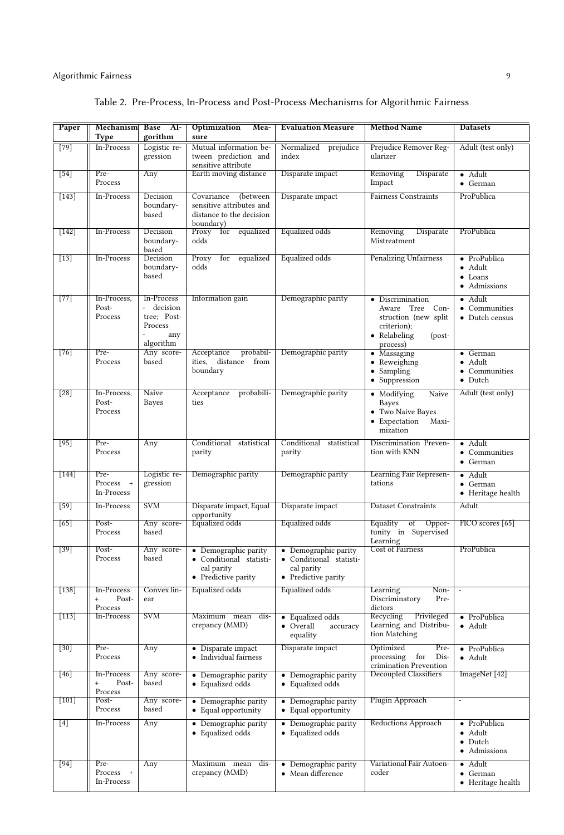<span id="page-8-0"></span>

| Paper       | Mechanism<br>Type                                   | Base<br>Al-<br>gorithm                                                                                        | Optimization<br>Mea-<br>sure                                                                | <b>Evaluation Measure</b>                                                            | <b>Method Name</b>                                                                                                 | <b>Datasets</b>                                                    |
|-------------|-----------------------------------------------------|---------------------------------------------------------------------------------------------------------------|---------------------------------------------------------------------------------------------|--------------------------------------------------------------------------------------|--------------------------------------------------------------------------------------------------------------------|--------------------------------------------------------------------|
| $[79]$      | In-Process                                          | Logistic re-<br>gression                                                                                      | Mutual information be-<br>tween prediction and<br>sensitive attribute                       | Normalized prejudice<br>index                                                        | Prejudice Remover Reg-<br>ularizer                                                                                 | Adult (test only)                                                  |
| [54]        | Pre-<br>Process                                     | Any                                                                                                           | Earth moving distance                                                                       | Disparate impact                                                                     | Removing<br>Disparate<br>Impact                                                                                    | $\bullet$ Adult<br>$\bullet$ German                                |
| $[143]$     | <b>In-Process</b>                                   | Decision<br>boundary-<br>based                                                                                | Covariance<br>(between<br>sensitive attributes and<br>distance to the decision<br>boundary) | Disparate impact                                                                     | <b>Fairness Constraints</b>                                                                                        | ProPublica                                                         |
| $[142]$     | In-Process                                          | Decision<br>boundary-<br>based                                                                                | Proxy for<br>equalized<br>odds                                                              | Equalized odds                                                                       | Removing<br>Disparate<br>Mistreatment                                                                              | ProPublica                                                         |
| $[13]$      | In-Process                                          | Decision<br>boundary-<br>based                                                                                | Proxy<br>equalized<br>for<br>odds                                                           | Equalized odds                                                                       | <b>Penalizing Unfairness</b>                                                                                       | · ProPublica<br>$\bullet$ Adult<br>$\bullet$ Loans<br>· Admissions |
| $[77]$      | In-Process,<br>Post-<br>Process                     | In-Process<br>$\mathcal{L}^{\pm}$<br>decision<br>tree; Post-<br>Process<br>any<br>$\overline{a}$<br>algorithm | Information gain                                                                            | Demographic parity                                                                   | • Discrimination<br>Aware Tree Con-<br>struction (new split<br>criterion);<br>• Relabeling<br>$-post-$<br>process) | $\bullet$ Adult<br>• Communities<br>• Dutch census                 |
| [76]        | Pre-<br>Process                                     | Any score-<br>based                                                                                           | probabil-<br>Acceptance<br>ities,<br>distance<br>from<br>boundary                           | Demographic parity                                                                   | • Massaging<br>• Reweighing<br>$\bullet$ Sampling<br>• Suppression                                                 | • German<br>• Adult<br>• Communities<br>$\bullet$ Dutch            |
| [28]        | In-Process,<br>Post-<br>Process                     | Naive<br><b>Bayes</b>                                                                                         | Acceptance<br>probabili-<br>ties                                                            | Demographic parity                                                                   | Naive<br>• Modifying<br>Bayes<br>• Two Naive Bayes<br>Maxi-<br>• Expectation<br>mization                           | Adult (test only)                                                  |
| $[95]$      | Pre-<br>Process                                     | Any                                                                                                           | Conditional statistical<br>parity                                                           | Conditional statistical<br>parity                                                    | Discrimination Preven-<br>tion with KNN                                                                            | · Adult<br>• Communities<br>• German                               |
| $[144]$     | Pre-<br>Process +<br>In-Process                     | Logistic re-<br>gression                                                                                      | Demographic parity                                                                          | Demographic parity                                                                   | Learning Fair Represen-<br>tations                                                                                 | • Adult<br>• German<br>• Heritage health                           |
| $\sqrt{59}$ | In-Process                                          | <b>SVM</b>                                                                                                    | Disparate impact, Equal<br>opportunity                                                      | Disparate impact                                                                     | <b>Dataset Constraints</b>                                                                                         | Adult                                                              |
| [65]        | Post-<br>Process                                    | Any score-<br>based                                                                                           | Equalized odds                                                                              | Equalized odds                                                                       | Equality<br>of<br>Oppor-<br>tunity in Supervised<br>Learning                                                       | FICO scores [65]                                                   |
| $[39]$      | Post-<br>Process                                    | Any score-<br>based                                                                                           | • Demographic parity<br>· Conditional statisti-<br>cal parity<br>• Predictive parity        | • Demographic parity<br>· Conditional statisti-<br>cal parity<br>• Predictive parity | Cost of Fairness                                                                                                   | ProPublica                                                         |
| $[138]$     | In-Process<br>Post-<br>$^{+}$<br>Process            | Convex lin-<br>ear                                                                                            | Equalized odds                                                                              | Equalized odds                                                                       | Learning<br>Non-<br>Discriminatory<br>Pre-<br>dictors                                                              | $\overline{\phantom{a}}$                                           |
| $[113]$     | In-Process                                          | <b>SVM</b>                                                                                                    | Maximum mean dis-<br>crepancy (MMD)                                                         | • Equalized odds<br>• Overall<br>accuracy<br>equality                                | Recycling<br>Privileged<br>Learning and Distribu-<br>tion Matching                                                 | • ProPublica<br>$\bullet$ Adult                                    |
| [30]        | Pre-<br>Process                                     | Any                                                                                                           | • Disparate impact<br>• Individual fairness                                                 | Disparate impact                                                                     | Optimized<br>Pre-<br>processing<br>for<br>Dis-<br>crimination Prevention                                           | · ProPublica<br>• Adult                                            |
| $[46]$      | In-Process<br>$\qquad \qquad +$<br>Post-<br>Process | Any score-<br>based                                                                                           | • Demographic parity<br>• Equalized odds                                                    | • Demographic parity<br>• Equalized odds                                             | Decoupled Classifiers                                                                                              | ImageNet [42]                                                      |
| $[101]$     | Post-<br>Process                                    | Any score-<br>based                                                                                           | • Demographic parity<br>• Equal opportunity                                                 | • Demographic parity<br>• Equal opportunity                                          | Plugin Approach                                                                                                    | Ξ                                                                  |
| $[4]$       | In-Process                                          | Any                                                                                                           | • Demographic parity<br>• Equalized odds                                                    | • Demographic parity<br>• Equalized odds                                             | Reductions Approach                                                                                                | · ProPublica<br>• Adult<br>$\bullet$ Dutch<br>• Admissions         |
| [94]        | Pre-<br>Process +<br>In-Process                     | Any                                                                                                           | Maximum mean dis-<br>crepancy (MMD)                                                         | • Demographic parity<br>• Mean difference                                            | Variational Fair Autoen-<br>coder                                                                                  | $\bullet$ Adult<br>• German<br>• Heritage health                   |

## Table 2. Pre-Process, In-Process and Post-Process Mechanisms for Algorithmic Fairness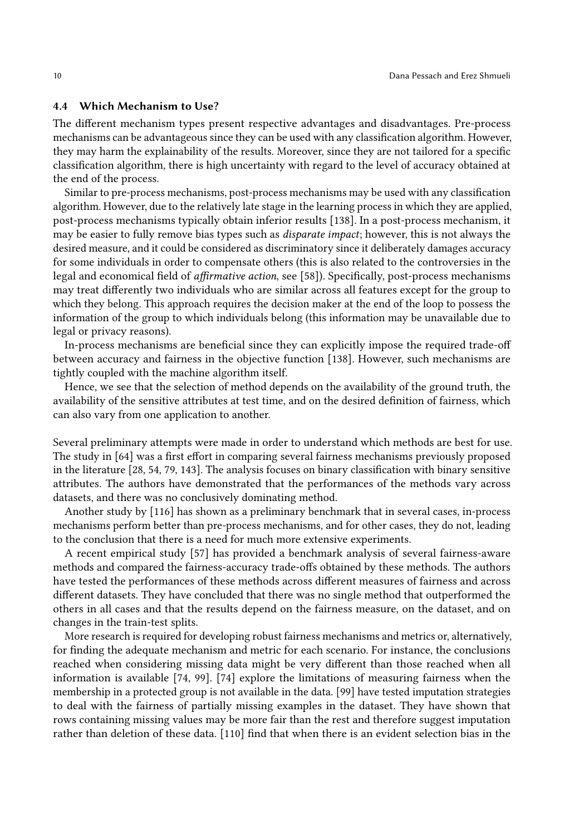#### 4.4 Which Mechanism to Use?

The different mechanism types present respective advantages and disadvantages. Pre-process mechanisms can be advantageous since they can be used with any classification algorithm. However, they may harm the explainability of the results. Moreover, since they are not tailored for a specific classification algorithm, there is high uncertainty with regard to the level of accuracy obtained at the end of the process.

Similar to pre-process mechanisms, post-process mechanisms may be used with any classification algorithm. However, due to the relatively late stage in the learning process in which they are applied, post-process mechanisms typically obtain inferior results [\[138\]](#page-24-5). In a post-process mechanism, it may be easier to fully remove bias types such as disparate impact; however, this is not always the desired measure, and it could be considered as discriminatory since it deliberately damages accuracy for some individuals in order to compensate others (this is also related to the controversies in the legal and economical field of affirmative action, see [\[58\]](#page-21-7)). Specifically, post-process mechanisms may treat differently two individuals who are similar across all features except for the group to which they belong. This approach requires the decision maker at the end of the loop to possess the information of the group to which individuals belong (this information may be unavailable due to legal or privacy reasons).

In-process mechanisms are beneficial since they can explicitly impose the required trade-off between accuracy and fairness in the objective function [\[138\]](#page-24-5). However, such mechanisms are tightly coupled with the machine algorithm itself.

Hence, we see that the selection of method depends on the availability of the ground truth, the availability of the sensitive attributes at test time, and on the desired definition of fairness, which can also vary from one application to another.

Several preliminary attempts were made in order to understand which methods are best for use. The study in [\[64\]](#page-22-9) was a first effort in comparing several fairness mechanisms previously proposed in the literature [\[28,](#page-20-3) [54,](#page-21-5) [79,](#page-22-6) [143\]](#page-25-4). The analysis focuses on binary classification with binary sensitive attributes. The authors have demonstrated that the performances of the methods vary across datasets, and there was no conclusively dominating method.

Another study by [\[116\]](#page-24-7) has shown as a preliminary benchmark that in several cases, in-process mechanisms perform better than pre-process mechanisms, and for other cases, they do not, leading to the conclusion that there is a need for much more extensive experiments.

A recent empirical study [\[57\]](#page-21-4) has provided a benchmark analysis of several fairness-aware methods and compared the fairness-accuracy trade-offs obtained by these methods. The authors have tested the performances of these methods across different measures of fairness and across different datasets. They have concluded that there was no single method that outperformed the others in all cases and that the results depend on the fairness measure, on the dataset, and on changes in the train-test splits.

More research is required for developing robust fairness mechanisms and metrics or, alternatively, for finding the adequate mechanism and metric for each scenario. For instance, the conclusions reached when considering missing data might be very different than those reached when all information is available [\[74,](#page-22-10) [99\]](#page-23-0). [\[74\]](#page-22-10) explore the limitations of measuring fairness when the membership in a protected group is not available in the data. [\[99\]](#page-23-0) have tested imputation strategies to deal with the fairness of partially missing examples in the dataset. They have shown that rows containing missing values may be more fair than the rest and therefore suggest imputation rather than deletion of these data. [\[110\]](#page-23-9) find that when there is an evident selection bias in the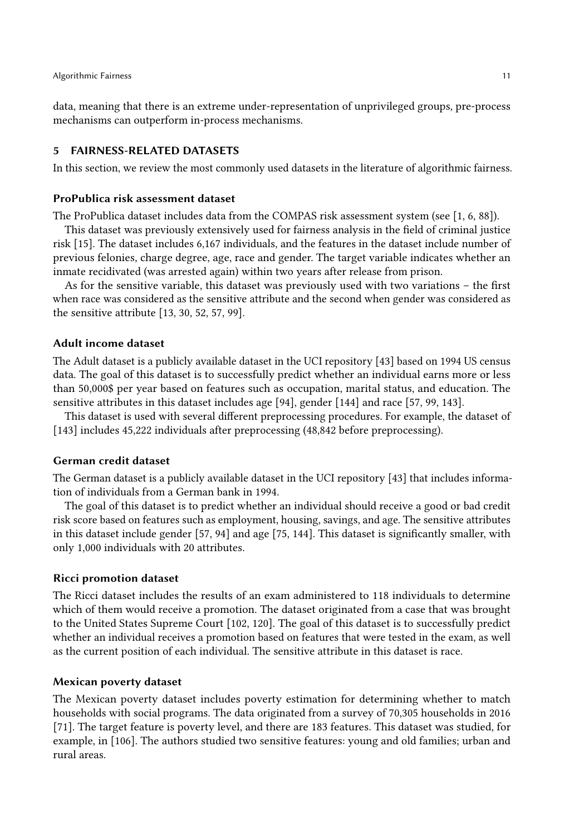data, meaning that there is an extreme under-representation of unprivileged groups, pre-process mechanisms can outperform in-process mechanisms.

#### <span id="page-10-0"></span>5 FAIRNESS-RELATED DATASETS

In this section, we review the most commonly used datasets in the literature of algorithmic fairness.

### ProPublica risk assessment dataset

The ProPublica dataset includes data from the COMPAS risk assessment system (see [\[1,](#page-19-1) [6,](#page-20-0) [88\]](#page-23-10)).

This dataset was previously extensively used for fairness analysis in the field of criminal justice risk [\[15\]](#page-20-1). The dataset includes 6,167 individuals, and the features in the dataset include number of previous felonies, charge degree, age, race and gender. The target variable indicates whether an inmate recidivated (was arrested again) within two years after release from prison.

As for the sensitive variable, this dataset was previously used with two variations – the first when race was considered as the sensitive attribute and the second when gender was considered as the sensitive attribute [\[13,](#page-20-7) [30,](#page-20-5) [52,](#page-21-16) [57,](#page-21-4) [99\]](#page-23-0).

### Adult income dataset

The Adult dataset is a publicly available dataset in the UCI repository [\[43\]](#page-21-17) based on 1994 US census data. The goal of this dataset is to successfully predict whether an individual earns more or less than 50,000\$ per year based on features such as occupation, marital status, and education. The sensitive attributes in this dataset includes age [\[94\]](#page-23-5), gender [\[144\]](#page-25-3) and race [\[57,](#page-21-4) [99,](#page-23-0) [143\]](#page-25-4).

This dataset is used with several different preprocessing procedures. For example, the dataset of [\[143\]](#page-25-4) includes 45,222 individuals after preprocessing (48,842 before preprocessing).

### German credit dataset

The German dataset is a publicly available dataset in the UCI repository [\[43\]](#page-21-17) that includes information of individuals from a German bank in 1994.

The goal of this dataset is to predict whether an individual should receive a good or bad credit risk score based on features such as employment, housing, savings, and age. The sensitive attributes in this dataset include gender [\[57,](#page-21-4) [94\]](#page-23-5) and age [\[75,](#page-22-11) [144\]](#page-25-3). This dataset is significantly smaller, with only 1,000 individuals with 20 attributes.

#### Ricci promotion dataset

The Ricci dataset includes the results of an exam administered to 118 individuals to determine which of them would receive a promotion. The dataset originated from a case that was brought to the United States Supreme Court [\[102,](#page-23-11) [120\]](#page-24-8). The goal of this dataset is to successfully predict whether an individual receives a promotion based on features that were tested in the exam, as well as the current position of each individual. The sensitive attribute in this dataset is race.

#### Mexican poverty dataset

The Mexican poverty dataset includes poverty estimation for determining whether to match households with social programs. The data originated from a survey of 70,305 households in 2016 [\[71\]](#page-22-12). The target feature is poverty level, and there are 183 features. This dataset was studied, for example, in [\[106\]](#page-23-12). The authors studied two sensitive features: young and old families; urban and rural areas.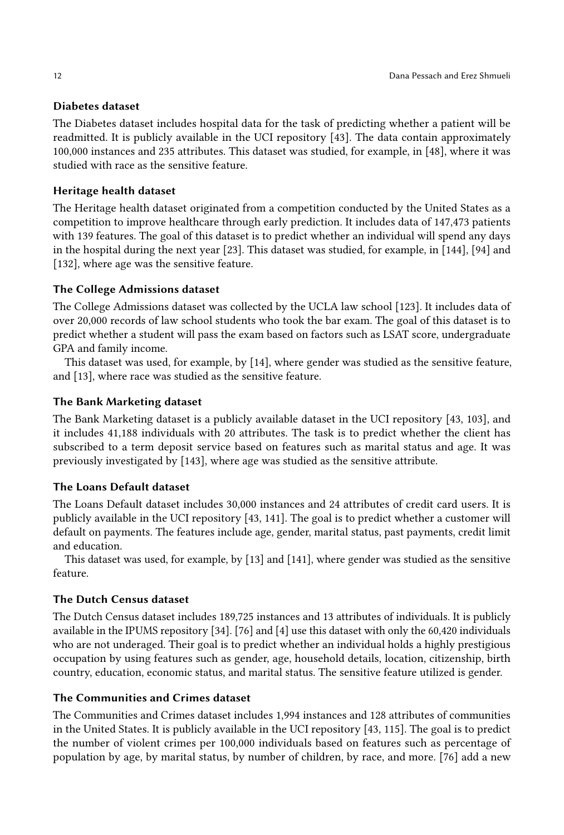### Diabetes dataset

The Diabetes dataset includes hospital data for the task of predicting whether a patient will be readmitted. It is publicly available in the UCI repository [\[43\]](#page-21-17). The data contain approximately 100,000 instances and 235 attributes. This dataset was studied, for example, in [\[48\]](#page-21-18), where it was studied with race as the sensitive feature.

### Heritage health dataset

The Heritage health dataset originated from a competition conducted by the United States as a competition to improve healthcare through early prediction. It includes data of 147,473 patients with 139 features. The goal of this dataset is to predict whether an individual will spend any days in the hospital during the next year [\[23\]](#page-20-10). This dataset was studied, for example, in [\[144\]](#page-25-3), [\[94\]](#page-23-5) and [\[132\]](#page-24-9), where age was the sensitive feature.

## The College Admissions dataset

The College Admissions dataset was collected by the UCLA law school [\[123\]](#page-24-10). It includes data of over 20,000 records of law school students who took the bar exam. The goal of this dataset is to predict whether a student will pass the exam based on factors such as LSAT score, undergraduate GPA and family income.

This dataset was used, for example, by [\[14\]](#page-20-8), where gender was studied as the sensitive feature, and [\[13\]](#page-20-7), where race was studied as the sensitive feature.

### The Bank Marketing dataset

The Bank Marketing dataset is a publicly available dataset in the UCI repository [\[43,](#page-21-17) [103\]](#page-23-13), and it includes 41,188 individuals with 20 attributes. The task is to predict whether the client has subscribed to a term deposit service based on features such as marital status and age. It was previously investigated by [\[143\]](#page-25-4), where age was studied as the sensitive attribute.

### The Loans Default dataset

The Loans Default dataset includes 30,000 instances and 24 attributes of credit card users. It is publicly available in the UCI repository [\[43,](#page-21-17) [141\]](#page-25-5). The goal is to predict whether a customer will default on payments. The features include age, gender, marital status, past payments, credit limit and education.

This dataset was used, for example, by [\[13\]](#page-20-7) and [\[141\]](#page-25-5), where gender was studied as the sensitive feature.

## The Dutch Census dataset

The Dutch Census dataset includes 189,725 instances and 13 attributes of individuals. It is publicly available in the IPUMS repository [\[34\]](#page-21-19). [\[76\]](#page-22-4) and [\[4\]](#page-19-2) use this dataset with only the 60,420 individuals who are not underaged. Their goal is to predict whether an individual holds a highly prestigious occupation by using features such as gender, age, household details, location, citizenship, birth country, education, economic status, and marital status. The sensitive feature utilized is gender.

### The Communities and Crimes dataset

The Communities and Crimes dataset includes 1,994 instances and 128 attributes of communities in the United States. It is publicly available in the UCI repository [\[43,](#page-21-17) [115\]](#page-24-11). The goal is to predict the number of violent crimes per 100,000 individuals based on features such as percentage of population by age, by marital status, by number of children, by race, and more. [\[76\]](#page-22-4) add a new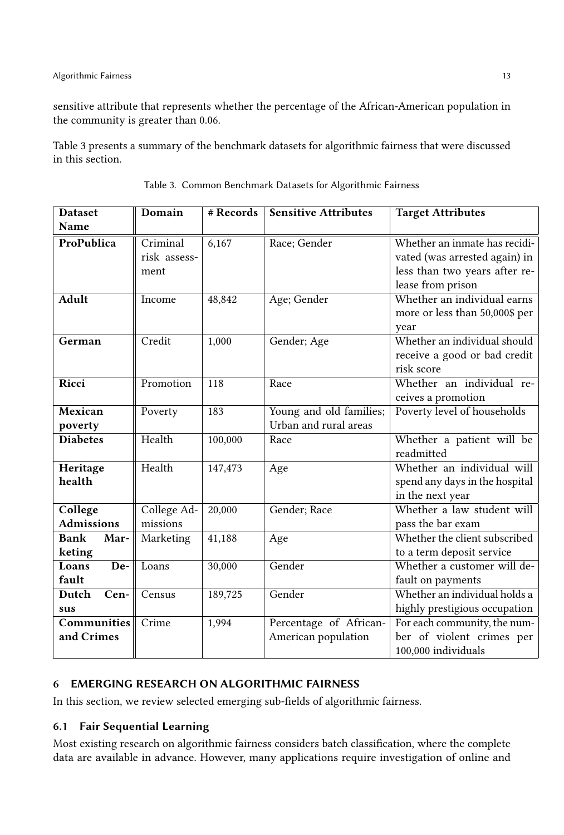sensitive attribute that represents whether the percentage of the African-American population in the community is greater than 0.06.

Table [3](#page-12-1) presents a summary of the benchmark datasets for algorithmic fairness that were discussed in this section.

<span id="page-12-1"></span>

| <b>Dataset</b>               | Domain                           | # Records | <b>Sensitive Attributes</b>                      | <b>Target Attributes</b>                                                                                             |
|------------------------------|----------------------------------|-----------|--------------------------------------------------|----------------------------------------------------------------------------------------------------------------------|
| Name                         |                                  |           |                                                  |                                                                                                                      |
| ProPublica                   | Criminal<br>risk assess-<br>ment | 6,167     | Race; Gender                                     | Whether an inmate has recidi-<br>vated (was arrested again) in<br>less than two years after re-<br>lease from prison |
| <b>Adult</b>                 | Income                           | 48,842    | Age; Gender                                      | Whether an individual earns<br>more or less than 50,000\$ per<br>year                                                |
| German                       | Credit                           | 1,000     | Gender; Age                                      | Whether an individual should<br>receive a good or bad credit<br>risk score                                           |
| Ricci                        | Promotion                        | 118       | Race                                             | Whether an individual re-<br>ceives a promotion                                                                      |
| Mexican<br>poverty           | Poverty                          | 183       | Young and old families;<br>Urban and rural areas | Poverty level of households                                                                                          |
| <b>Diabetes</b>              | Health                           | 100,000   | Race                                             | Whether a patient will be<br>readmitted                                                                              |
| Heritage<br>health           | Health                           | 147,473   | Age                                              | Whether an individual will<br>spend any days in the hospital<br>in the next year                                     |
| College<br><b>Admissions</b> | College Ad-<br>missions          | 20,000    | Gender; Race                                     | Whether a law student will<br>pass the bar exam                                                                      |
| Bank<br>Mar-<br>keting       | Marketing                        | 41,188    | Age                                              | Whether the client subscribed<br>to a term deposit service                                                           |
| Loans<br>De-<br>fault        | Loans                            | 30,000    | Gender                                           | Whether a customer will de-<br>fault on payments                                                                     |
| Dutch<br>Cen-<br>sus         | Census                           | 189,725   | Gender                                           | Whether an individual holds a<br>highly prestigious occupation                                                       |
| Communities<br>and Crimes    | Crime                            | 1,994     | Percentage of African-<br>American population    | For each community, the num-<br>ber of violent crimes per<br>100,000 individuals                                     |

|  |  | Table 3. Common Benchmark Datasets for Algorithmic Fairness |  |
|--|--|-------------------------------------------------------------|--|
|  |  |                                                             |  |

### <span id="page-12-0"></span>6 EMERGING RESEARCH ON ALGORITHMIC FAIRNESS

In this section, we review selected emerging sub-fields of algorithmic fairness.

## 6.1 Fair Sequential Learning

Most existing research on algorithmic fairness considers batch classification, where the complete data are available in advance. However, many applications require investigation of online and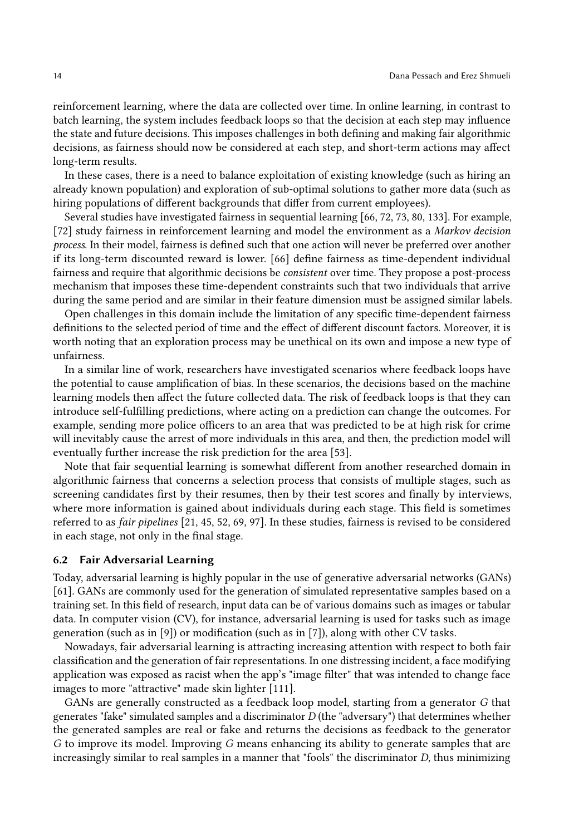reinforcement learning, where the data are collected over time. In online learning, in contrast to batch learning, the system includes feedback loops so that the decision at each step may influence the state and future decisions. This imposes challenges in both defining and making fair algorithmic decisions, as fairness should now be considered at each step, and short-term actions may affect long-term results.

In these cases, there is a need to balance exploitation of existing knowledge (such as hiring an already known population) and exploration of sub-optimal solutions to gather more data (such as hiring populations of different backgrounds that differ from current employees).

Several studies have investigated fairness in sequential learning [\[66,](#page-22-13) [72,](#page-22-14) [73,](#page-22-3) [80,](#page-22-15) [133\]](#page-24-12). For example, [\[72\]](#page-22-14) study fairness in reinforcement learning and model the environment as a Markov decision process. In their model, fairness is defined such that one action will never be preferred over another if its long-term discounted reward is lower. [\[66\]](#page-22-13) define fairness as time-dependent individual fairness and require that algorithmic decisions be consistent over time. They propose a post-process mechanism that imposes these time-dependent constraints such that two individuals that arrive during the same period and are similar in their feature dimension must be assigned similar labels.

Open challenges in this domain include the limitation of any specific time-dependent fairness definitions to the selected period of time and the effect of different discount factors. Moreover, it is worth noting that an exploration process may be unethical on its own and impose a new type of unfairness.

In a similar line of work, researchers have investigated scenarios where feedback loops have the potential to cause amplification of bias. In these scenarios, the decisions based on the machine learning models then affect the future collected data. The risk of feedback loops is that they can introduce self-fulfilling predictions, where acting on a prediction can change the outcomes. For example, sending more police officers to an area that was predicted to be at high risk for crime will inevitably cause the arrest of more individuals in this area, and then, the prediction model will eventually further increase the risk prediction for the area [\[53\]](#page-21-20).

Note that fair sequential learning is somewhat different from another researched domain in algorithmic fairness that concerns a selection process that consists of multiple stages, such as screening candidates first by their resumes, then by their test scores and finally by interviews, where more information is gained about individuals during each stage. This field is sometimes referred to as fair pipelines [\[21,](#page-20-11) [45,](#page-21-21) [52,](#page-21-16) [69,](#page-22-16) [97\]](#page-23-14). In these studies, fairness is revised to be considered in each stage, not only in the final stage.

### <span id="page-13-0"></span>6.2 Fair Adversarial Learning

Today, adversarial learning is highly popular in the use of generative adversarial networks (GANs) [\[61\]](#page-22-17). GANs are commonly used for the generation of simulated representative samples based on a training set. In this field of research, input data can be of various domains such as images or tabular data. In computer vision (CV), for instance, adversarial learning is used for tasks such as image generation (such as in [\[9\]](#page-20-12)) or modification (such as in [\[7\]](#page-20-13)), along with other CV tasks.

Nowadays, fair adversarial learning is attracting increasing attention with respect to both fair classification and the generation of fair representations. In one distressing incident, a face modifying application was exposed as racist when the app's "image filter" that was intended to change face images to more "attractive" made skin lighter [\[111\]](#page-23-15).

GANs are generally constructed as a feedback loop model, starting from a generator G that generates "fake" simulated samples and a discriminator  $D$  (the "adversary") that determines whether the generated samples are real or fake and returns the decisions as feedback to the generator G to improve its model. Improving G means enhancing its ability to generate samples that are increasingly similar to real samples in a manner that "fools" the discriminator D, thus minimizing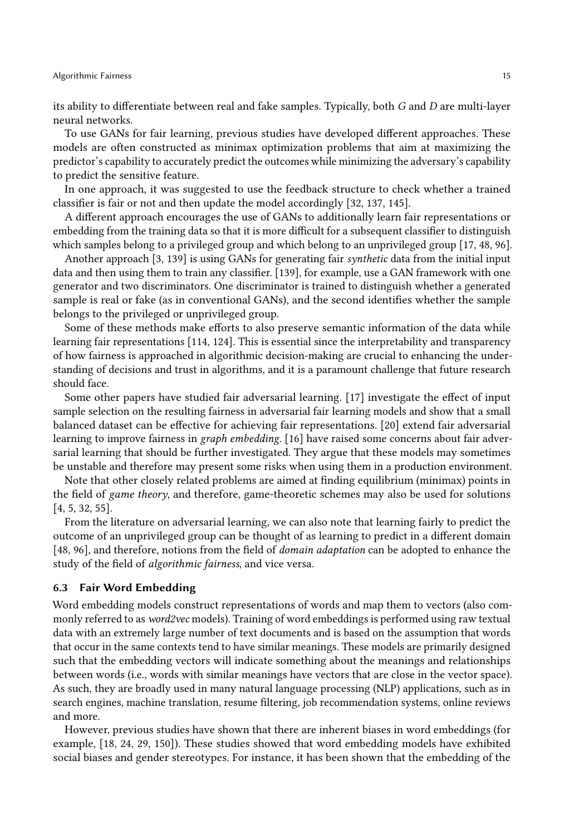its ability to differentiate between real and fake samples. Typically, both G and D are multi-layer neural networks.

To use GANs for fair learning, previous studies have developed different approaches. These models are often constructed as minimax optimization problems that aim at maximizing the predictor's capability to accurately predict the outcomes while minimizing the adversary's capability to predict the sensitive feature.

In one approach, it was suggested to use the feedback structure to check whether a trained classifier is fair or not and then update the model accordingly [\[32,](#page-20-14) [137,](#page-24-13) [145\]](#page-25-6).

A different approach encourages the use of GANs to additionally learn fair representations or embedding from the training data so that it is more difficult for a subsequent classifier to distinguish which samples belong to a privileged group and which belong to an unprivileged group [\[17,](#page-20-15) [48,](#page-21-18) [96\]](#page-23-16).

Another approach [\[3,](#page-19-3) [139\]](#page-24-14) is using GANs for generating fair synthetic data from the initial input data and then using them to train any classifier. [\[139\]](#page-24-14), for example, use a GAN framework with one generator and two discriminators. One discriminator is trained to distinguish whether a generated sample is real or fake (as in conventional GANs), and the second identifies whether the sample belongs to the privileged or unprivileged group.

Some of these methods make efforts to also preserve semantic information of the data while learning fair representations [\[114,](#page-24-15) [124\]](#page-24-16). This is essential since the interpretability and transparency of how fairness is approached in algorithmic decision-making are crucial to enhancing the understanding of decisions and trust in algorithms, and it is a paramount challenge that future research should face.

Some other papers have studied fair adversarial learning. [\[17\]](#page-20-15) investigate the effect of input sample selection on the resulting fairness in adversarial fair learning models and show that a small balanced dataset can be effective for achieving fair representations. [\[20\]](#page-20-16) extend fair adversarial learning to improve fairness in graph embedding. [\[16\]](#page-20-17) have raised some concerns about fair adversarial learning that should be further investigated. They argue that these models may sometimes be unstable and therefore may present some risks when using them in a production environment.

Note that other closely related problems are aimed at finding equilibrium (minimax) points in the field of game theory, and therefore, game-theoretic schemes may also be used for solutions [\[4,](#page-19-2) [5,](#page-20-9) [32,](#page-20-14) [55\]](#page-21-22).

From the literature on adversarial learning, we can also note that learning fairly to predict the outcome of an unprivileged group can be thought of as learning to predict in a different domain [\[48,](#page-21-18) [96\]](#page-23-16), and therefore, notions from the field of *domain adaptation* can be adopted to enhance the study of the field of algorithmic fairness, and vice versa.

### 6.3 Fair Word Embedding

Word embedding models construct representations of words and map them to vectors (also commonly referred to as word2vec models). Training of word embeddings is performed using raw textual data with an extremely large number of text documents and is based on the assumption that words that occur in the same contexts tend to have similar meanings. These models are primarily designed such that the embedding vectors will indicate something about the meanings and relationships between words (i.e., words with similar meanings have vectors that are close in the vector space). As such, they are broadly used in many natural language processing (NLP) applications, such as in search engines, machine translation, resume filtering, job recommendation systems, online reviews and more.

However, previous studies have shown that there are inherent biases in word embeddings (for example, [\[18,](#page-20-18) [24,](#page-20-19) [29,](#page-20-20) [150\]](#page-25-7)). These studies showed that word embedding models have exhibited social biases and gender stereotypes. For instance, it has been shown that the embedding of the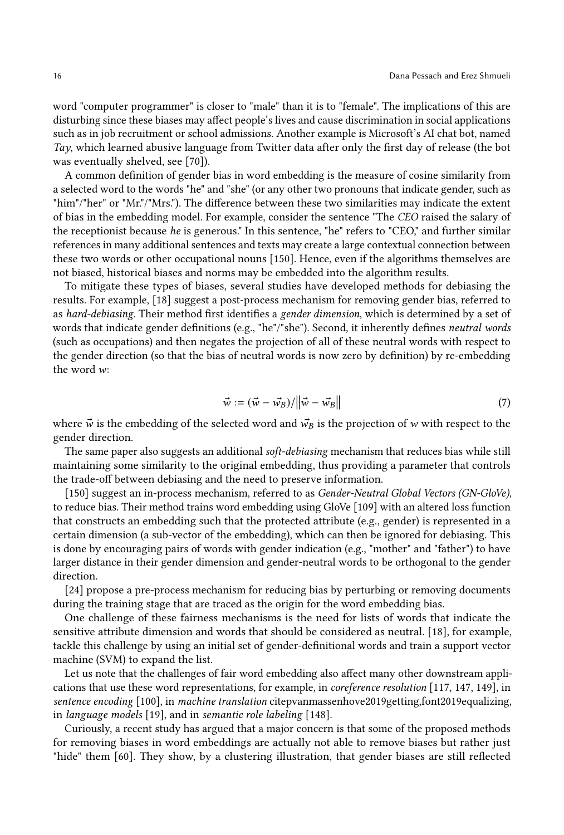word "computer programmer" is closer to "male" than it is to "female". The implications of this are disturbing since these biases may affect people's lives and cause discrimination in social applications such as in job recruitment or school admissions. Another example is Microsoft's AI chat bot, named Tay, which learned abusive language from Twitter data after only the first day of release (the bot was eventually shelved, see [\[70\]](#page-22-18)).

A common definition of gender bias in word embedding is the measure of cosine similarity from a selected word to the words "he" and "she" (or any other two pronouns that indicate gender, such as "him"/"her" or "Mr."/"Mrs."). The difference between these two similarities may indicate the extent of bias in the embedding model. For example, consider the sentence "The CEO raised the salary of the receptionist because he is generous." In this sentence, "he" refers to "CEO," and further similar references in many additional sentences and texts may create a large contextual connection between these two words or other occupational nouns [\[150\]](#page-25-7). Hence, even if the algorithms themselves are not biased, historical biases and norms may be embedded into the algorithm results.

To mitigate these types of biases, several studies have developed methods for debiasing the results. For example, [\[18\]](#page-20-18) suggest a post-process mechanism for removing gender bias, referred to as hard-debiasing. Their method first identifies a gender dimension, which is determined by a set of words that indicate gender definitions (e.g., "he"/"she"). Second, it inherently defines neutral words (such as occupations) and then negates the projection of all of these neutral words with respect to the gender direction (so that the bias of neutral words is now zero by definition) by re-embedding the word w:

$$
\vec{w} := (\vec{w} - \vec{w}_B) / ||\vec{w} - \vec{w}_B|| \tag{7}
$$

where  $\vec{w}$  is the embedding of the selected word and  $\vec{w}_B$  is the projection of w with respect to the gender direction.

The same paper also suggests an additional soft-debiasing mechanism that reduces bias while still maintaining some similarity to the original embedding, thus providing a parameter that controls the trade-off between debiasing and the need to preserve information.

[\[150\]](#page-25-7) suggest an in-process mechanism, referred to as Gender-Neutral Global Vectors (GN-GloVe), to reduce bias. Their method trains word embedding using GloVe [\[109\]](#page-23-17) with an altered loss function that constructs an embedding such that the protected attribute (e.g., gender) is represented in a certain dimension (a sub-vector of the embedding), which can then be ignored for debiasing. This is done by encouraging pairs of words with gender indication (e.g., "mother" and "father") to have larger distance in their gender dimension and gender-neutral words to be orthogonal to the gender direction.

[\[24\]](#page-20-19) propose a pre-process mechanism for reducing bias by perturbing or removing documents during the training stage that are traced as the origin for the word embedding bias.

One challenge of these fairness mechanisms is the need for lists of words that indicate the sensitive attribute dimension and words that should be considered as neutral. [\[18\]](#page-20-18), for example, tackle this challenge by using an initial set of gender-definitional words and train a support vector machine (SVM) to expand the list.

Let us note that the challenges of fair word embedding also affect many other downstream applications that use these word representations, for example, in coreference resolution [\[117,](#page-24-17) [147,](#page-25-8) [149\]](#page-25-9), in sentence encoding [\[100\]](#page-23-18), in machine translation citepvanmassenhove2019getting,font2019equalizing, in language models [\[19\]](#page-20-21), and in semantic role labeling [\[148\]](#page-25-10).

Curiously, a recent study has argued that a major concern is that some of the proposed methods for removing biases in word embeddings are actually not able to remove biases but rather just "hide" them [\[60\]](#page-21-23). They show, by a clustering illustration, that gender biases are still reflected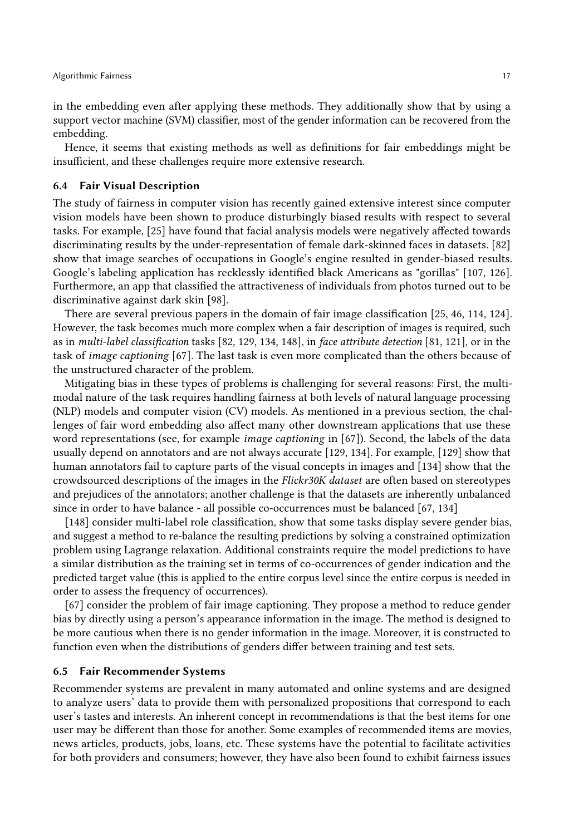in the embedding even after applying these methods. They additionally show that by using a support vector machine (SVM) classifier, most of the gender information can be recovered from the embedding.

Hence, it seems that existing methods as well as definitions for fair embeddings might be insufficient, and these challenges require more extensive research.

### 6.4 Fair Visual Description

The study of fairness in computer vision has recently gained extensive interest since computer vision models have been shown to produce disturbingly biased results with respect to several tasks. For example, [\[25\]](#page-20-22) have found that facial analysis models were negatively affected towards discriminating results by the under-representation of female dark-skinned faces in datasets. [\[82\]](#page-22-19) show that image searches of occupations in Google's engine resulted in gender-biased results. Google's labeling application has recklessly identified black Americans as "gorillas" [\[107,](#page-23-19) [126\]](#page-24-18). Furthermore, an app that classified the attractiveness of individuals from photos turned out to be discriminative against dark skin [\[98\]](#page-23-20).

There are several previous papers in the domain of fair image classification [\[25,](#page-20-22) [46,](#page-21-14) [114,](#page-24-15) [124\]](#page-24-16). However, the task becomes much more complex when a fair description of images is required, such as in multi-label classification tasks [\[82,](#page-22-19) [129,](#page-24-19) [134,](#page-24-20) [148\]](#page-25-10), in face attribute detection [\[81,](#page-22-20) [121\]](#page-24-21), or in the task of image captioning [\[67\]](#page-22-21). The last task is even more complicated than the others because of the unstructured character of the problem.

Mitigating bias in these types of problems is challenging for several reasons: First, the multimodal nature of the task requires handling fairness at both levels of natural language processing (NLP) models and computer vision (CV) models. As mentioned in a previous section, the challenges of fair word embedding also affect many other downstream applications that use these word representations (see, for example *image captioning* in [\[67\]](#page-22-21)). Second, the labels of the data usually depend on annotators and are not always accurate [\[129,](#page-24-19) [134\]](#page-24-20). For example, [\[129\]](#page-24-19) show that human annotators fail to capture parts of the visual concepts in images and [\[134\]](#page-24-20) show that the crowdsourced descriptions of the images in the Flickr30K dataset are often based on stereotypes and prejudices of the annotators; another challenge is that the datasets are inherently unbalanced since in order to have balance - all possible co-occurrences must be balanced [\[67,](#page-22-21) [134\]](#page-24-20)

[\[148\]](#page-25-10) consider multi-label role classification, show that some tasks display severe gender bias, and suggest a method to re-balance the resulting predictions by solving a constrained optimization problem using Lagrange relaxation. Additional constraints require the model predictions to have a similar distribution as the training set in terms of co-occurrences of gender indication and the predicted target value (this is applied to the entire corpus level since the entire corpus is needed in order to assess the frequency of occurrences).

[\[67\]](#page-22-21) consider the problem of fair image captioning. They propose a method to reduce gender bias by directly using a person's appearance information in the image. The method is designed to be more cautious when there is no gender information in the image. Moreover, it is constructed to function even when the distributions of genders differ between training and test sets.

### 6.5 Fair Recommender Systems

Recommender systems are prevalent in many automated and online systems and are designed to analyze users' data to provide them with personalized propositions that correspond to each user's tastes and interests. An inherent concept in recommendations is that the best items for one user may be different than those for another. Some examples of recommended items are movies, news articles, products, jobs, loans, etc. These systems have the potential to facilitate activities for both providers and consumers; however, they have also been found to exhibit fairness issues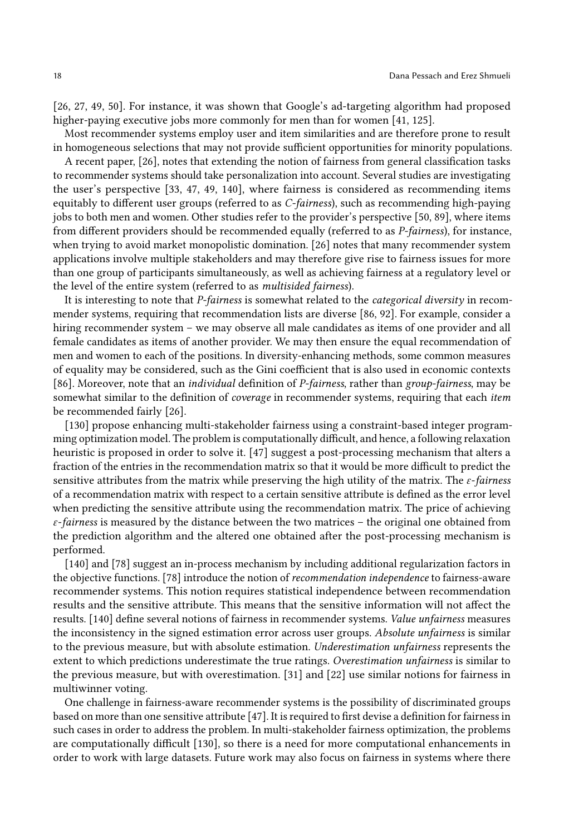[\[26,](#page-20-23) [27,](#page-20-24) [49,](#page-21-24) [50\]](#page-21-25). For instance, it was shown that Google's ad-targeting algorithm had proposed higher-paying executive jobs more commonly for men than for women [\[41,](#page-21-2) [125\]](#page-24-0).

Most recommender systems employ user and item similarities and are therefore prone to result in homogeneous selections that may not provide sufficient opportunities for minority populations.

A recent paper, [\[26\]](#page-20-23), notes that extending the notion of fairness from general classification tasks to recommender systems should take personalization into account. Several studies are investigating the user's perspective [\[33,](#page-20-25) [47,](#page-21-12) [49,](#page-21-24) [140\]](#page-24-22), where fairness is considered as recommending items equitably to different user groups (referred to as C-fairness), such as recommending high-paying jobs to both men and women. Other studies refer to the provider's perspective [\[50,](#page-21-25) [89\]](#page-23-21), where items from different providers should be recommended equally (referred to as P-fairness), for instance, when trying to avoid market monopolistic domination. [\[26\]](#page-20-23) notes that many recommender system applications involve multiple stakeholders and may therefore give rise to fairness issues for more than one group of participants simultaneously, as well as achieving fairness at a regulatory level or the level of the entire system (referred to as multisided fairness).

It is interesting to note that *P-fairness* is somewhat related to the *categorical diversity* in recommender systems, requiring that recommendation lists are diverse [\[86,](#page-23-22) [92\]](#page-23-23). For example, consider a hiring recommender system – we may observe all male candidates as items of one provider and all female candidates as items of another provider. We may then ensure the equal recommendation of men and women to each of the positions. In diversity-enhancing methods, some common measures of equality may be considered, such as the Gini coefficient that is also used in economic contexts [\[86\]](#page-23-22). Moreover, note that an *individual* definition of *P-fairness*, rather than group-fairness, may be somewhat similar to the definition of *coverage* in recommender systems, requiring that each *item* be recommended fairly [\[26\]](#page-20-23).

[\[130\]](#page-24-23) propose enhancing multi-stakeholder fairness using a constraint-based integer programming optimization model. The problem is computationally difficult, and hence, a following relaxation heuristic is proposed in order to solve it. [\[47\]](#page-21-12) suggest a post-processing mechanism that alters a fraction of the entries in the recommendation matrix so that it would be more difficult to predict the sensitive attributes from the matrix while preserving the high utility of the matrix. The  $\varepsilon$ -fairness of a recommendation matrix with respect to a certain sensitive attribute is defined as the error level when predicting the sensitive attribute using the recommendation matrix. The price of achieving  $\varepsilon$ -fairness is measured by the distance between the two matrices – the original one obtained from the prediction algorithm and the altered one obtained after the post-processing mechanism is performed.

[\[140\]](#page-24-22) and [\[78\]](#page-22-22) suggest an in-process mechanism by including additional regularization factors in the objective functions. [\[78\]](#page-22-22) introduce the notion of recommendation independence to fairness-aware recommender systems. This notion requires statistical independence between recommendation results and the sensitive attribute. This means that the sensitive information will not affect the results. [\[140\]](#page-24-22) define several notions of fairness in recommender systems. Value unfairness measures the inconsistency in the signed estimation error across user groups. Absolute unfairness is similar to the previous measure, but with absolute estimation. Underestimation unfairness represents the extent to which predictions underestimate the true ratings. Overestimation unfairness is similar to the previous measure, but with overestimation. [\[31\]](#page-20-26) and [\[22\]](#page-20-27) use similar notions for fairness in multiwinner voting.

One challenge in fairness-aware recommender systems is the possibility of discriminated groups based on more than one sensitive attribute [\[47\]](#page-21-12). It is required to first devise a definition for fairness in such cases in order to address the problem. In multi-stakeholder fairness optimization, the problems are computationally difficult [\[130\]](#page-24-23), so there is a need for more computational enhancements in order to work with large datasets. Future work may also focus on fairness in systems where there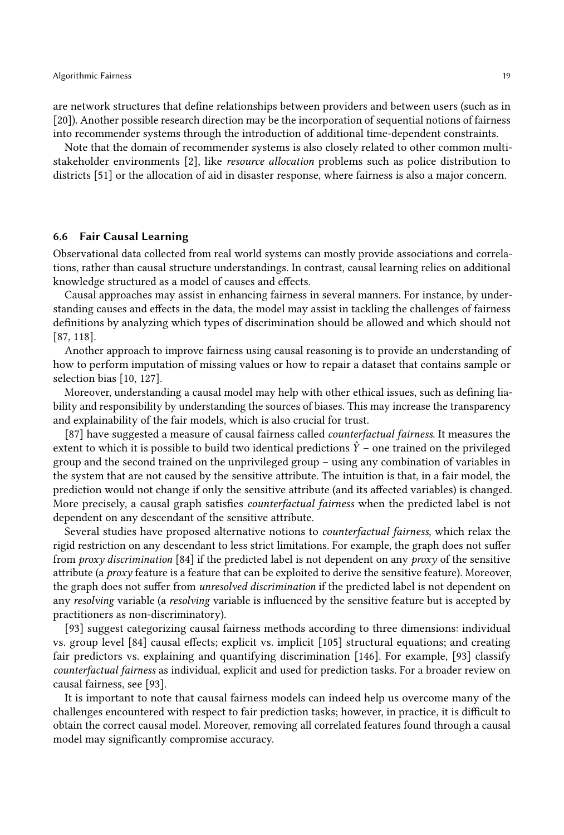are network structures that define relationships between providers and between users (such as in [\[20\]](#page-20-16)). Another possible research direction may be the incorporation of sequential notions of fairness into recommender systems through the introduction of additional time-dependent constraints.

Note that the domain of recommender systems is also closely related to other common multistakeholder environments [\[2\]](#page-19-4), like resource allocation problems such as police distribution to districts [\[51\]](#page-21-26) or the allocation of aid in disaster response, where fairness is also a major concern.

### 6.6 Fair Causal Learning

Observational data collected from real world systems can mostly provide associations and correlations, rather than causal structure understandings. In contrast, causal learning relies on additional knowledge structured as a model of causes and effects.

Causal approaches may assist in enhancing fairness in several manners. For instance, by understanding causes and effects in the data, the model may assist in tackling the challenges of fairness definitions by analyzing which types of discrimination should be allowed and which should not [\[87,](#page-23-24) [118\]](#page-24-24).

Another approach to improve fairness using causal reasoning is to provide an understanding of how to perform imputation of missing values or how to repair a dataset that contains sample or selection bias [\[10,](#page-20-28) [127\]](#page-24-25).

Moreover, understanding a causal model may help with other ethical issues, such as defining liability and responsibility by understanding the sources of biases. This may increase the transparency and explainability of the fair models, which is also crucial for trust.

[\[87\]](#page-23-24) have suggested a measure of causal fairness called *counterfactual fairness*. It measures the extent to which it is possible to build two identical predictions  $\hat{Y}$  – one trained on the privileged group and the second trained on the unprivileged group – using any combination of variables in the system that are not caused by the sensitive attribute. The intuition is that, in a fair model, the prediction would not change if only the sensitive attribute (and its affected variables) is changed. More precisely, a causal graph satisfies counterfactual fairness when the predicted label is not dependent on any descendant of the sensitive attribute.

Several studies have proposed alternative notions to counterfactual fairness, which relax the rigid restriction on any descendant to less strict limitations. For example, the graph does not suffer from *proxy discrimination* [\[84\]](#page-22-23) if the predicted label is not dependent on any *proxy* of the sensitive attribute (a  $prox<sub>V</sub>$  feature is a feature that can be exploited to derive the sensitive feature). Moreover, the graph does not suffer from unresolved discrimination if the predicted label is not dependent on any resolving variable (a resolving variable is influenced by the sensitive feature but is accepted by practitioners as non-discriminatory).

[\[93\]](#page-23-25) suggest categorizing causal fairness methods according to three dimensions: individual vs. group level [\[84\]](#page-22-23) causal effects; explicit vs. implicit [\[105\]](#page-23-26) structural equations; and creating fair predictors vs. explaining and quantifying discrimination [\[146\]](#page-25-11). For example, [\[93\]](#page-23-25) classify counterfactual fairness as individual, explicit and used for prediction tasks. For a broader review on causal fairness, see [\[93\]](#page-23-25).

It is important to note that causal fairness models can indeed help us overcome many of the challenges encountered with respect to fair prediction tasks; however, in practice, it is difficult to obtain the correct causal model. Moreover, removing all correlated features found through a causal model may significantly compromise accuracy.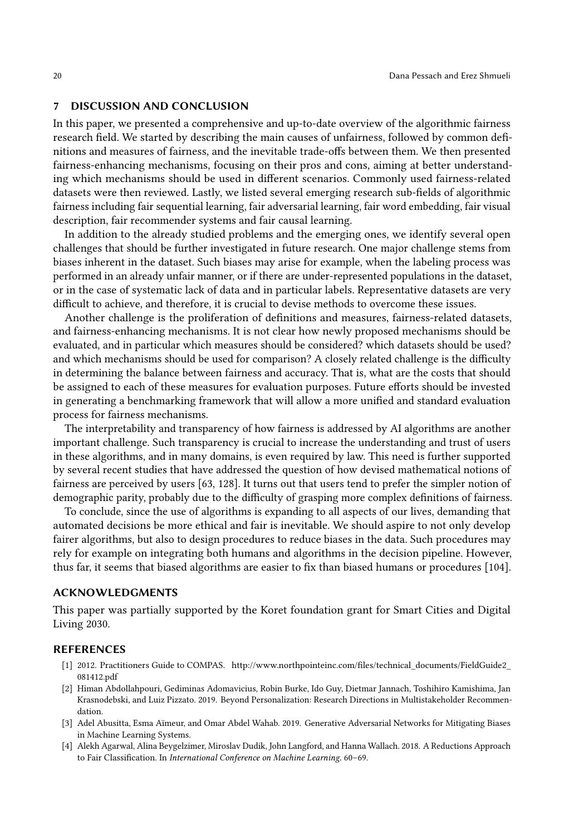### <span id="page-19-0"></span>7 DISCUSSION AND CONCLUSION

In this paper, we presented a comprehensive and up-to-date overview of the algorithmic fairness research field. We started by describing the main causes of unfairness, followed by common definitions and measures of fairness, and the inevitable trade-offs between them. We then presented fairness-enhancing mechanisms, focusing on their pros and cons, aiming at better understanding which mechanisms should be used in different scenarios. Commonly used fairness-related datasets were then reviewed. Lastly, we listed several emerging research sub-fields of algorithmic fairness including fair sequential learning, fair adversarial learning, fair word embedding, fair visual description, fair recommender systems and fair causal learning.

In addition to the already studied problems and the emerging ones, we identify several open challenges that should be further investigated in future research. One major challenge stems from biases inherent in the dataset. Such biases may arise for example, when the labeling process was performed in an already unfair manner, or if there are under-represented populations in the dataset, or in the case of systematic lack of data and in particular labels. Representative datasets are very difficult to achieve, and therefore, it is crucial to devise methods to overcome these issues.

Another challenge is the proliferation of definitions and measures, fairness-related datasets, and fairness-enhancing mechanisms. It is not clear how newly proposed mechanisms should be evaluated, and in particular which measures should be considered? which datasets should be used? and which mechanisms should be used for comparison? A closely related challenge is the difficulty in determining the balance between fairness and accuracy. That is, what are the costs that should be assigned to each of these measures for evaluation purposes. Future efforts should be invested in generating a benchmarking framework that will allow a more unified and standard evaluation process for fairness mechanisms.

The interpretability and transparency of how fairness is addressed by AI algorithms are another important challenge. Such transparency is crucial to increase the understanding and trust of users in these algorithms, and in many domains, is even required by law. This need is further supported by several recent studies that have addressed the question of how devised mathematical notions of fairness are perceived by users [\[63,](#page-22-24) [128\]](#page-24-26). It turns out that users tend to prefer the simpler notion of demographic parity, probably due to the difficulty of grasping more complex definitions of fairness.

To conclude, since the use of algorithms is expanding to all aspects of our lives, demanding that automated decisions be more ethical and fair is inevitable. We should aspire to not only develop fairer algorithms, but also to design procedures to reduce biases in the data. Such procedures may rely for example on integrating both humans and algorithms in the decision pipeline. However, thus far, it seems that biased algorithms are easier to fix than biased humans or procedures [\[104\]](#page-23-27).

### ACKNOWLEDGMENTS

This paper was partially supported by the Koret foundation grant for Smart Cities and Digital Living 2030.

### REFERENCES

- <span id="page-19-1"></span>[1] 2012. Practitioners Guide to COMPAS. [http://www.northpointeinc.com/files/technical\\_documents/FieldGuide2\\_](http://www.northpointeinc.com/files/technical_documents/FieldGuide2_081412.pdf) [081412.pdf](http://www.northpointeinc.com/files/technical_documents/FieldGuide2_081412.pdf)
- <span id="page-19-4"></span>[2] Himan Abdollahpouri, Gediminas Adomavicius, Robin Burke, Ido Guy, Dietmar Jannach, Toshihiro Kamishima, Jan Krasnodebski, and Luiz Pizzato. 2019. Beyond Personalization: Research Directions in Multistakeholder Recommendation.
- <span id="page-19-3"></span>[3] Adel Abusitta, Esma Aïmeur, and Omar Abdel Wahab. 2019. Generative Adversarial Networks for Mitigating Biases in Machine Learning Systems.
- <span id="page-19-2"></span>[4] Alekh Agarwal, Alina Beygelzimer, Miroslav Dudik, John Langford, and Hanna Wallach. 2018. A Reductions Approach to Fair Classification. In International Conference on Machine Learning. 60–69.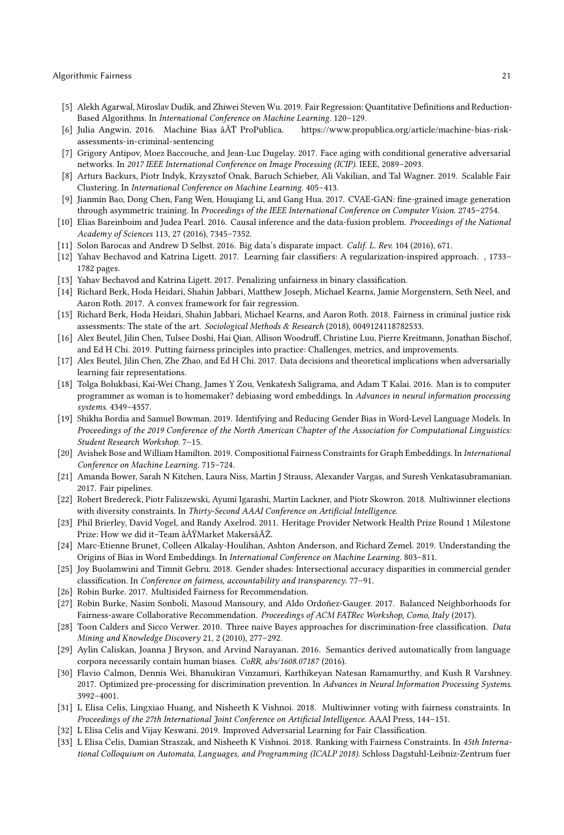- <span id="page-20-9"></span>[5] Alekh Agarwal, Miroslav Dudik, and Zhiwei Steven Wu. 2019. Fair Regression: Quantitative Definitions and Reduction-Based Algorithms. In International Conference on Machine Learning. 120–129.
- <span id="page-20-0"></span>[6] Julia Angwin. 2016. Machine Bias âĂŤ ProPublica. [https://www.propublica.org/article/machine-bias-risk](https://www.propublica.org/article/machine-bias-risk-assessments-in-criminal-sentencing)[assessments-in-criminal-sentencing](https://www.propublica.org/article/machine-bias-risk-assessments-in-criminal-sentencing)
- <span id="page-20-13"></span>[7] Grigory Antipov, Moez Baccouche, and Jean-Luc Dugelay. 2017. Face aging with conditional generative adversarial networks. In 2017 IEEE International Conference on Image Processing (ICIP). IEEE, 2089–2093.
- <span id="page-20-6"></span>[8] Arturs Backurs, Piotr Indyk, Krzysztof Onak, Baruch Schieber, Ali Vakilian, and Tal Wagner. 2019. Scalable Fair Clustering. In International Conference on Machine Learning. 405–413.
- <span id="page-20-12"></span>[9] Jianmin Bao, Dong Chen, Fang Wen, Houqiang Li, and Gang Hua. 2017. CVAE-GAN: fine-grained image generation through asymmetric training. In Proceedings of the IEEE International Conference on Computer Vision. 2745–2754.
- <span id="page-20-28"></span>[10] Elias Bareinboim and Judea Pearl. 2016. Causal inference and the data-fusion problem. Proceedings of the National Academy of Sciences 113, 27 (2016), 7345–7352.
- <span id="page-20-2"></span>[11] Solon Barocas and Andrew D Selbst. 2016. Big data's disparate impact. Calif. L. Rev. 104 (2016), 671.
- <span id="page-20-4"></span>[12] Yahav Bechavod and Katrina Ligett. 2017. Learning fair classifiers: A regularization-inspired approach. , 1733– 1782 pages.
- <span id="page-20-7"></span>[13] Yahav Bechavod and Katrina Ligett. 2017. Penalizing unfairness in binary classification.
- <span id="page-20-8"></span>[14] Richard Berk, Hoda Heidari, Shahin Jabbari, Matthew Joseph, Michael Kearns, Jamie Morgenstern, Seth Neel, and Aaron Roth. 2017. A convex framework for fair regression.
- <span id="page-20-1"></span>[15] Richard Berk, Hoda Heidari, Shahin Jabbari, Michael Kearns, and Aaron Roth. 2018. Fairness in criminal justice risk assessments: The state of the art. Sociological Methods & Research (2018), 0049124118782533.
- <span id="page-20-17"></span>[16] Alex Beutel, Jilin Chen, Tulsee Doshi, Hai Qian, Allison Woodruff, Christine Luu, Pierre Kreitmann, Jonathan Bischof, and Ed H Chi. 2019. Putting fairness principles into practice: Challenges, metrics, and improvements.
- <span id="page-20-15"></span>[17] Alex Beutel, Jilin Chen, Zhe Zhao, and Ed H Chi. 2017. Data decisions and theoretical implications when adversarially learning fair representations.
- <span id="page-20-18"></span>[18] Tolga Bolukbasi, Kai-Wei Chang, James Y Zou, Venkatesh Saligrama, and Adam T Kalai. 2016. Man is to computer programmer as woman is to homemaker? debiasing word embeddings. In Advances in neural information processing systems. 4349–4357.
- <span id="page-20-21"></span>[19] Shikha Bordia and Samuel Bowman. 2019. Identifying and Reducing Gender Bias in Word-Level Language Models. In Proceedings of the 2019 Conference of the North American Chapter of the Association for Computational Linguistics: Student Research Workshop. 7–15.
- <span id="page-20-16"></span>[20] Avishek Bose and William Hamilton. 2019. Compositional Fairness Constraints for Graph Embeddings. In International Conference on Machine Learning. 715–724.
- <span id="page-20-11"></span>[21] Amanda Bower, Sarah N Kitchen, Laura Niss, Martin J Strauss, Alexander Vargas, and Suresh Venkatasubramanian. 2017. Fair pipelines.
- <span id="page-20-27"></span>[22] Robert Bredereck, Piotr Faliszewski, Ayumi Igarashi, Martin Lackner, and Piotr Skowron. 2018. Multiwinner elections with diversity constraints. In Thirty-Second AAAI Conference on Artificial Intelligence.
- <span id="page-20-10"></span>[23] Phil Brierley, David Vogel, and Randy Axelrod. 2011. Heritage Provider Network Health Prize Round 1 Milestone Prize: How we did it–Team âĂŸMarket MakersâĂŹ.
- <span id="page-20-19"></span>[24] Marc-Etienne Brunet, Colleen Alkalay-Houlihan, Ashton Anderson, and Richard Zemel. 2019. Understanding the Origins of Bias in Word Embeddings. In International Conference on Machine Learning. 803–811.
- <span id="page-20-22"></span>[25] Joy Buolamwini and Timnit Gebru. 2018. Gender shades: Intersectional accuracy disparities in commercial gender classification. In Conference on fairness, accountability and transparency. 77–91.
- <span id="page-20-23"></span>[26] Robin Burke. 2017. Multisided Fairness for Recommendation.
- <span id="page-20-24"></span>[27] Robin Burke, Nasim Sonboli, Masoud Mansoury, and Aldo Ordoñez-Gauger. 2017. Balanced Neighborhoods for Fairness-aware Collaborative Recommendation. Proceedings of ACM FATRec Workshop, Como, Italy (2017).
- <span id="page-20-3"></span>[28] Toon Calders and Sicco Verwer. 2010. Three naive Bayes approaches for discrimination-free classification. Data Mining and Knowledge Discovery 21, 2 (2010), 277–292.
- <span id="page-20-20"></span>[29] Aylin Caliskan, Joanna J Bryson, and Arvind Narayanan. 2016. Semantics derived automatically from language corpora necessarily contain human biases. CoRR, abs/1608.07187 (2016).
- <span id="page-20-5"></span>[30] Flavio Calmon, Dennis Wei, Bhanukiran Vinzamuri, Karthikeyan Natesan Ramamurthy, and Kush R Varshney. 2017. Optimized pre-processing for discrimination prevention. In Advances in Neural Information Processing Systems. 3992–4001.
- <span id="page-20-26"></span>[31] L Elisa Celis, Lingxiao Huang, and Nisheeth K Vishnoi. 2018. Multiwinner voting with fairness constraints. In Proceedings of the 27th International Joint Conference on Artificial Intelligence. AAAI Press, 144–151.
- <span id="page-20-14"></span>[32] L Elisa Celis and Vijay Keswani. 2019. Improved Adversarial Learning for Fair Classification.
- <span id="page-20-25"></span>[33] L Elisa Celis, Damian Straszak, and Nisheeth K Vishnoi. 2018. Ranking with Fairness Constraints. In 45th International Colloquium on Automata, Languages, and Programming (ICALP 2018). Schloss Dagstuhl-Leibniz-Zentrum fuer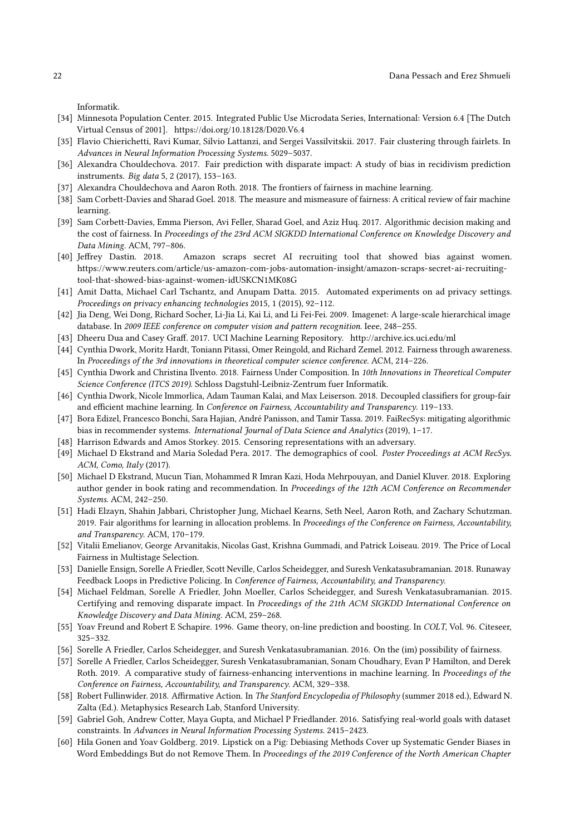Informatik.

- <span id="page-21-19"></span>[34] Minnesota Population Center. 2015. Integrated Public Use Microdata Series, International: Version 6.4 [The Dutch Virtual Census of 2001].<https://doi.org/10.18128/D020.V6.4>
- <span id="page-21-11"></span>[35] Flavio Chierichetti, Ravi Kumar, Silvio Lattanzi, and Sergei Vassilvitskii. 2017. Fair clustering through fairlets. In Advances in Neural Information Processing Systems. 5029–5037.
- <span id="page-21-0"></span>[36] Alexandra Chouldechova. 2017. Fair prediction with disparate impact: A study of bias in recidivism prediction instruments. Big data 5, 2 (2017), 153–163.
- <span id="page-21-3"></span>[37] Alexandra Chouldechova and Aaron Roth. 2018. The frontiers of fairness in machine learning.
- <span id="page-21-8"></span>[38] Sam Corbett-Davies and Sharad Goel. 2018. The measure and mismeasure of fairness: A critical review of fair machine learning.
- <span id="page-21-9"></span>[39] Sam Corbett-Davies, Emma Pierson, Avi Feller, Sharad Goel, and Aziz Huq. 2017. Algorithmic decision making and the cost of fairness. In Proceedings of the 23rd ACM SIGKDD International Conference on Knowledge Discovery and Data Mining. ACM, 797–806.
- <span id="page-21-1"></span>[40] Jeffrey Dastin. 2018. Amazon scraps secret AI recruiting tool that showed bias against women. [https://www.reuters.com/article/us-amazon-com-jobs-automation-insight/amazon-scraps-secret-ai-recruiting](https://www.reuters.com/article/us-amazon-com-jobs-automation-insight/amazon-scraps-secret-ai-recruiting-tool-that-showed-bias-against-women-idUSKCN1MK08G)[tool-that-showed-bias-against-women-idUSKCN1MK08G](https://www.reuters.com/article/us-amazon-com-jobs-automation-insight/amazon-scraps-secret-ai-recruiting-tool-that-showed-bias-against-women-idUSKCN1MK08G)
- <span id="page-21-2"></span>[41] Amit Datta, Michael Carl Tschantz, and Anupam Datta. 2015. Automated experiments on ad privacy settings. Proceedings on privacy enhancing technologies 2015, 1 (2015), 92–112.
- <span id="page-21-15"></span>[42] Jia Deng, Wei Dong, Richard Socher, Li-Jia Li, Kai Li, and Li Fei-Fei. 2009. Imagenet: A large-scale hierarchical image database. In 2009 IEEE conference on computer vision and pattern recognition. Ieee, 248–255.
- <span id="page-21-17"></span>[43] Dheeru Dua and Casey Graff. 2017. UCI Machine Learning Repository.<http://archive.ics.uci.edu/ml>
- <span id="page-21-6"></span>[44] Cynthia Dwork, Moritz Hardt, Toniann Pitassi, Omer Reingold, and Richard Zemel. 2012. Fairness through awareness. In Proceedings of the 3rd innovations in theoretical computer science conference. ACM, 214–226.
- <span id="page-21-21"></span>[45] Cynthia Dwork and Christina Ilvento. 2018. Fairness Under Composition. In 10th Innovations in Theoretical Computer Science Conference (ITCS 2019). Schloss Dagstuhl-Leibniz-Zentrum fuer Informatik.
- <span id="page-21-14"></span>[46] Cynthia Dwork, Nicole Immorlica, Adam Tauman Kalai, and Max Leiserson. 2018. Decoupled classifiers for group-fair and efficient machine learning. In Conference on Fairness, Accountability and Transparency. 119–133.
- <span id="page-21-12"></span>[47] Bora Edizel, Francesco Bonchi, Sara Hajian, André Panisson, and Tamir Tassa. 2019. FaiRecSys: mitigating algorithmic bias in recommender systems. International Journal of Data Science and Analytics (2019), 1-17.
- <span id="page-21-18"></span>[48] Harrison Edwards and Amos Storkey. 2015. Censoring representations with an adversary.
- <span id="page-21-24"></span>[49] Michael D Ekstrand and Maria Soledad Pera. 2017. The demographics of cool. Poster Proceedings at ACM RecSys. ACM, Como, Italy (2017).
- <span id="page-21-25"></span>[50] Michael D Ekstrand, Mucun Tian, Mohammed R Imran Kazi, Hoda Mehrpouyan, and Daniel Kluver. 2018. Exploring author gender in book rating and recommendation. In Proceedings of the 12th ACM Conference on Recommender Systems. ACM, 242–250.
- <span id="page-21-26"></span>[51] Hadi Elzayn, Shahin Jabbari, Christopher Jung, Michael Kearns, Seth Neel, Aaron Roth, and Zachary Schutzman. 2019. Fair algorithms for learning in allocation problems. In Proceedings of the Conference on Fairness, Accountability, and Transparency. ACM, 170–179.
- <span id="page-21-16"></span>[52] Vitalii Emelianov, George Arvanitakis, Nicolas Gast, Krishna Gummadi, and Patrick Loiseau. 2019. The Price of Local Fairness in Multistage Selection.
- <span id="page-21-20"></span>[53] Danielle Ensign, Sorelle A Friedler, Scott Neville, Carlos Scheidegger, and Suresh Venkatasubramanian. 2018. Runaway Feedback Loops in Predictive Policing. In Conference of Fairness, Accountability, and Transparency.
- <span id="page-21-5"></span>[54] Michael Feldman, Sorelle A Friedler, John Moeller, Carlos Scheidegger, and Suresh Venkatasubramanian. 2015. Certifying and removing disparate impact. In Proceedings of the 21th ACM SIGKDD International Conference on Knowledge Discovery and Data Mining. ACM, 259–268.
- <span id="page-21-22"></span>[55] Yoav Freund and Robert E Schapire. 1996. Game theory, on-line prediction and boosting. In COLT, Vol. 96. Citeseer, 325–332.
- <span id="page-21-10"></span>[56] Sorelle A Friedler, Carlos Scheidegger, and Suresh Venkatasubramanian. 2016. On the (im) possibility of fairness.
- <span id="page-21-4"></span>[57] Sorelle A Friedler, Carlos Scheidegger, Suresh Venkatasubramanian, Sonam Choudhary, Evan P Hamilton, and Derek Roth. 2019. A comparative study of fairness-enhancing interventions in machine learning. In Proceedings of the Conference on Fairness, Accountability, and Transparency. ACM, 329–338.
- <span id="page-21-7"></span>[58] Robert Fullinwider. 2018. Affirmative Action. In The Stanford Encyclopedia of Philosophy (summer 2018 ed.), Edward N. Zalta (Ed.). Metaphysics Research Lab, Stanford University.
- <span id="page-21-13"></span>[59] Gabriel Goh, Andrew Cotter, Maya Gupta, and Michael P Friedlander. 2016. Satisfying real-world goals with dataset constraints. In Advances in Neural Information Processing Systems. 2415–2423.
- <span id="page-21-23"></span>[60] Hila Gonen and Yoav Goldberg. 2019. Lipstick on a Pig: Debiasing Methods Cover up Systematic Gender Biases in Word Embeddings But do not Remove Them. In Proceedings of the 2019 Conference of the North American Chapter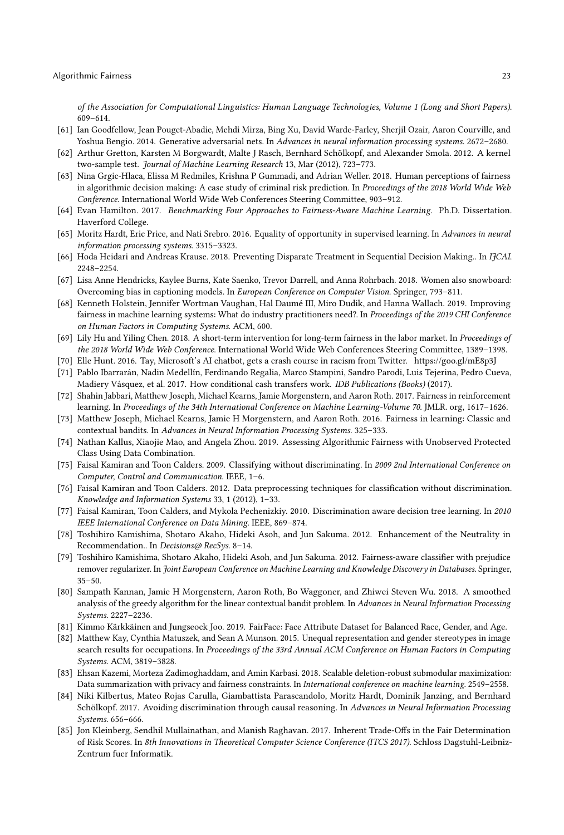of the Association for Computational Linguistics: Human Language Technologies, Volume 1 (Long and Short Papers). 609–614.

- <span id="page-22-17"></span>[61] Ian Goodfellow, Jean Pouget-Abadie, Mehdi Mirza, Bing Xu, David Warde-Farley, Sherjil Ozair, Aaron Courville, and Yoshua Bengio. 2014. Generative adversarial nets. In Advances in neural information processing systems. 2672-2680.
- <span id="page-22-8"></span>[62] Arthur Gretton, Karsten M Borgwardt, Malte J Rasch, Bernhard Schölkopf, and Alexander Smola. 2012. A kernel two-sample test. Journal of Machine Learning Research 13, Mar (2012), 723–773.
- <span id="page-22-24"></span>[63] Nina Grgic-Hlaca, Elissa M Redmiles, Krishna P Gummadi, and Adrian Weller. 2018. Human perceptions of fairness in algorithmic decision making: A case study of criminal risk prediction. In Proceedings of the 2018 World Wide Web Conference. International World Wide Web Conferences Steering Committee, 903–912.
- <span id="page-22-9"></span>[64] Evan Hamilton. 2017. Benchmarking Four Approaches to Fairness-Aware Machine Learning. Ph.D. Dissertation. Haverford College.
- <span id="page-22-2"></span>[65] Moritz Hardt, Eric Price, and Nati Srebro. 2016. Equality of opportunity in supervised learning. In Advances in neural information processing systems. 3315–3323.
- <span id="page-22-13"></span>[66] Hoda Heidari and Andreas Krause. 2018. Preventing Disparate Treatment in Sequential Decision Making.. In IJCAI. 2248–2254.
- <span id="page-22-21"></span>[67] Lisa Anne Hendricks, Kaylee Burns, Kate Saenko, Trevor Darrell, and Anna Rohrbach. 2018. Women also snowboard: Overcoming bias in captioning models. In European Conference on Computer Vision. Springer, 793–811.
- <span id="page-22-1"></span>[68] Kenneth Holstein, Jennifer Wortman Vaughan, Hal Daumé III, Miro Dudik, and Hanna Wallach. 2019. Improving fairness in machine learning systems: What do industry practitioners need?. In Proceedings of the 2019 CHI Conference on Human Factors in Computing Systems. ACM, 600.
- <span id="page-22-16"></span>[69] Lily Hu and Yiling Chen. 2018. A short-term intervention for long-term fairness in the labor market. In Proceedings of the 2018 World Wide Web Conference. International World Wide Web Conferences Steering Committee, 1389–1398.
- <span id="page-22-18"></span>[70] Elle Hunt. 2016. Tay, Microsoft's AI chatbot, gets a crash course in racism from Twitter.<https://goo.gl/mE8p3J>
- <span id="page-22-12"></span>[71] Pablo Ibarrarán, Nadin Medellín, Ferdinando Regalia, Marco Stampini, Sandro Parodi, Luis Tejerina, Pedro Cueva, Madiery Vásquez, et al. 2017. How conditional cash transfers work. IDB Publications (Books) (2017).
- <span id="page-22-14"></span>[72] Shahin Jabbari, Matthew Joseph, Michael Kearns, Jamie Morgenstern, and Aaron Roth. 2017. Fairness in reinforcement learning. In Proceedings of the 34th International Conference on Machine Learning-Volume 70. JMLR. org, 1617–1626.
- <span id="page-22-3"></span>[73] Matthew Joseph, Michael Kearns, Jamie H Morgenstern, and Aaron Roth. 2016. Fairness in learning: Classic and contextual bandits. In Advances in Neural Information Processing Systems. 325–333.
- <span id="page-22-10"></span>[74] Nathan Kallus, Xiaojie Mao, and Angela Zhou. 2019. Assessing Algorithmic Fairness with Unobserved Protected Class Using Data Combination.
- <span id="page-22-11"></span>[75] Faisal Kamiran and Toon Calders. 2009. Classifying without discriminating. In 2009 2nd International Conference on Computer, Control and Communication. IEEE, 1–6.
- <span id="page-22-4"></span>[76] Faisal Kamiran and Toon Calders. 2012. Data preprocessing techniques for classification without discrimination. Knowledge and Information Systems 33, 1 (2012), 1–33.
- <span id="page-22-7"></span>[77] Faisal Kamiran, Toon Calders, and Mykola Pechenizkiy. 2010. Discrimination aware decision tree learning. In 2010 IEEE International Conference on Data Mining. IEEE, 869–874.
- <span id="page-22-22"></span>[78] Toshihiro Kamishima, Shotaro Akaho, Hideki Asoh, and Jun Sakuma. 2012. Enhancement of the Neutrality in Recommendation.. In Decisions@ RecSys. 8-14.
- <span id="page-22-6"></span>[79] Toshihiro Kamishima, Shotaro Akaho, Hideki Asoh, and Jun Sakuma. 2012. Fairness-aware classifier with prejudice remover regularizer. In Joint European Conference on Machine Learning and Knowledge Discovery in Databases. Springer, 35–50.
- <span id="page-22-15"></span>[80] Sampath Kannan, Jamie H Morgenstern, Aaron Roth, Bo Waggoner, and Zhiwei Steven Wu. 2018. A smoothed analysis of the greedy algorithm for the linear contextual bandit problem. In Advances in Neural Information Processing Systems. 2227–2236.
- <span id="page-22-20"></span>[81] Kimmo Kärkkäinen and Jungseock Joo. 2019. FairFace: Face Attribute Dataset for Balanced Race, Gender, and Age.
- <span id="page-22-19"></span>[82] Matthew Kay, Cynthia Matuszek, and Sean A Munson. 2015. Unequal representation and gender stereotypes in image search results for occupations. In Proceedings of the 33rd Annual ACM Conference on Human Factors in Computing Systems. ACM, 3819–3828.
- <span id="page-22-5"></span>[83] Ehsan Kazemi, Morteza Zadimoghaddam, and Amin Karbasi. 2018. Scalable deletion-robust submodular maximization: Data summarization with privacy and fairness constraints. In International conference on machine learning. 2549-2558.
- <span id="page-22-23"></span>[84] Niki Kilbertus, Mateo Rojas Carulla, Giambattista Parascandolo, Moritz Hardt, Dominik Janzing, and Bernhard Schölkopf. 2017. Avoiding discrimination through causal reasoning. In Advances in Neural Information Processing Systems. 656–666.
- <span id="page-22-0"></span>[85] Jon Kleinberg, Sendhil Mullainathan, and Manish Raghavan. 2017. Inherent Trade-Offs in the Fair Determination of Risk Scores. In 8th Innovations in Theoretical Computer Science Conference (ITCS 2017). Schloss Dagstuhl-Leibniz-Zentrum fuer Informatik.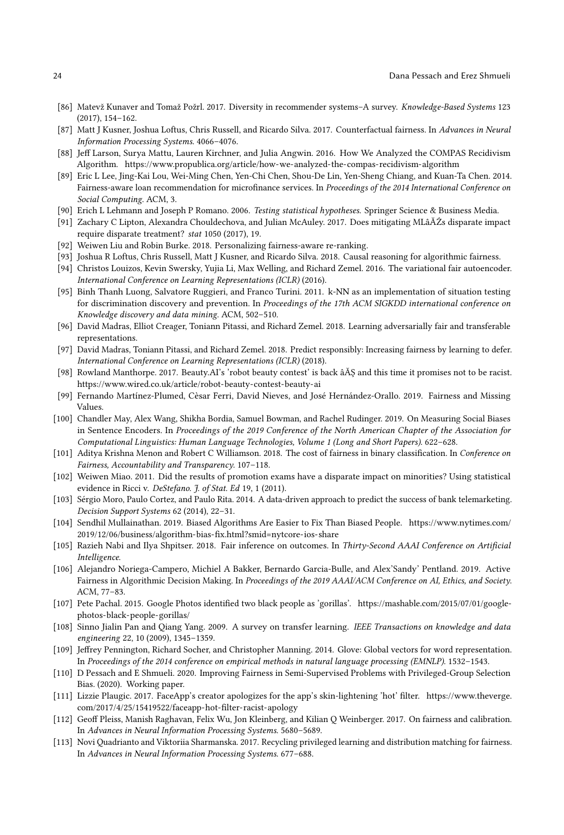- <span id="page-23-22"></span>[86] Matevž Kunaver and Tomaž Požrl. 2017. Diversity in recommender systems–A survey. Knowledge-Based Systems 123 (2017), 154–162.
- <span id="page-23-24"></span>[87] Matt J Kusner, Joshua Loftus, Chris Russell, and Ricardo Silva. 2017. Counterfactual fairness. In Advances in Neural Information Processing Systems. 4066–4076.
- <span id="page-23-10"></span>[88] Jeff Larson, Surya Mattu, Lauren Kirchner, and Julia Angwin. 2016. How We Analyzed the COMPAS Recidivism Algorithm.<https://www.propublica.org/article/how-we-analyzed-the-compas-recidivism-algorithm>
- <span id="page-23-21"></span>[89] Eric L Lee, Jing-Kai Lou, Wei-Ming Chen, Yen-Chi Chen, Shou-De Lin, Yen-Sheng Chiang, and Kuan-Ta Chen. 2014. Fairness-aware loan recommendation for microfinance services. In Proceedings of the 2014 International Conference on Social Computing. ACM, 3.
- <span id="page-23-7"></span>[90] Erich L Lehmann and Joseph P Romano. 2006. Testing statistical hypotheses. Springer Science & Business Media.
- <span id="page-23-2"></span>[91] Zachary C Lipton, Alexandra Chouldechova, and Julian McAuley. 2017. Does mitigating MLâĂŹs disparate impact require disparate treatment? stat 1050 (2017), 19.
- <span id="page-23-23"></span>[92] Weiwen Liu and Robin Burke. 2018. Personalizing fairness-aware re-ranking.
- <span id="page-23-25"></span>[93] Joshua R Loftus, Chris Russell, Matt J Kusner, and Ricardo Silva. 2018. Causal reasoning for algorithmic fairness.
- <span id="page-23-5"></span>[94] Christos Louizos, Kevin Swersky, Yujia Li, Max Welling, and Richard Zemel. 2016. The variational fair autoencoder. International Conference on Learning Representations (ICLR) (2016).
- <span id="page-23-4"></span>[95] Binh Thanh Luong, Salvatore Ruggieri, and Franco Turini. 2011. k-NN as an implementation of situation testing for discrimination discovery and prevention. In Proceedings of the 17th ACM SIGKDD international conference on Knowledge discovery and data mining. ACM, 502–510.
- <span id="page-23-16"></span>[96] David Madras, Elliot Creager, Toniann Pitassi, and Richard Zemel. 2018. Learning adversarially fair and transferable representations.
- <span id="page-23-14"></span>[97] David Madras, Toniann Pitassi, and Richard Zemel. 2018. Predict responsibly: Increasing fairness by learning to defer. International Conference on Learning Representations (ICLR) (2018).
- <span id="page-23-20"></span>[98] Rowland Manthorpe. 2017. Beauty.AI's 'robot beauty contest' is back âĂŞ and this time it promises not to be racist. <https://www.wired.co.uk/article/robot-beauty-contest-beauty-ai>
- <span id="page-23-0"></span>[99] Fernando Martínez-Plumed, Cèsar Ferri, David Nieves, and José Hernández-Orallo. 2019. Fairness and Missing Values.
- <span id="page-23-18"></span>[100] Chandler May, Alex Wang, Shikha Bordia, Samuel Bowman, and Rachel Rudinger. 2019. On Measuring Social Biases in Sentence Encoders. In Proceedings of the 2019 Conference of the North American Chapter of the Association for Computational Linguistics: Human Language Technologies, Volume 1 (Long and Short Papers). 622–628.
- <span id="page-23-3"></span>[101] Aditya Krishna Menon and Robert C Williamson. 2018. The cost of fairness in binary classification. In Conference on Fairness, Accountability and Transparency. 107–118.
- <span id="page-23-11"></span>[102] Weiwen Miao. 2011. Did the results of promotion exams have a disparate impact on minorities? Using statistical evidence in Ricci v. DeStefano. J. of Stat. Ed 19, 1 (2011).
- <span id="page-23-13"></span>[103] Sérgio Moro, Paulo Cortez, and Paulo Rita. 2014. A data-driven approach to predict the success of bank telemarketing. Decision Support Systems 62 (2014), 22–31.
- <span id="page-23-27"></span>[104] Sendhil Mullainathan. 2019. Biased Algorithms Are Easier to Fix Than Biased People. [https://www.nytimes.com/](https://www.nytimes.com/2019/12/06/business/algorithm-bias-fix.html?smid=nytcore-ios-share) [2019/12/06/business/algorithm-bias-fix.html?smid=nytcore-ios-share](https://www.nytimes.com/2019/12/06/business/algorithm-bias-fix.html?smid=nytcore-ios-share)
- <span id="page-23-26"></span>[105] Razieh Nabi and Ilya Shpitser. 2018. Fair inference on outcomes. In Thirty-Second AAAI Conference on Artificial Intelligence.
- <span id="page-23-12"></span>[106] Alejandro Noriega-Campero, Michiel A Bakker, Bernardo Garcia-Bulle, and Alex'Sandy' Pentland. 2019. Active Fairness in Algorithmic Decision Making. In Proceedings of the 2019 AAAI/ACM Conference on AI, Ethics, and Society. ACM, 77–83.
- <span id="page-23-19"></span>[107] Pete Pachal. 2015. Google Photos identified two black people as 'gorillas'. [https://mashable.com/2015/07/01/google](https://mashable.com/2015/07/01/google-photos-black-people-gorillas/)[photos-black-people-gorillas/](https://mashable.com/2015/07/01/google-photos-black-people-gorillas/)
- <span id="page-23-8"></span>[108] Sinno Jialin Pan and Qiang Yang. 2009. A survey on transfer learning. IEEE Transactions on knowledge and data engineering 22, 10 (2009), 1345–1359.
- <span id="page-23-17"></span>[109] Jeffrey Pennington, Richard Socher, and Christopher Manning. 2014. Glove: Global vectors for word representation. In Proceedings of the 2014 conference on empirical methods in natural language processing (EMNLP). 1532–1543.
- <span id="page-23-9"></span>[110] D Pessach and E Shmueli. 2020. Improving Fairness in Semi-Supervised Problems with Privileged-Group Selection Bias. (2020). Working paper.
- <span id="page-23-15"></span>[111] Lizzie Plaugic. 2017. FaceApp's creator apologizes for the app's skin-lightening 'hot' filter. [https://www.theverge.](https://www.theverge.com/2017/4/25/15419522/faceapp-hot-filter-racist-apology) [com/2017/4/25/15419522/faceapp-hot-filter-racist-apology](https://www.theverge.com/2017/4/25/15419522/faceapp-hot-filter-racist-apology)
- <span id="page-23-1"></span>[112] Geoff Pleiss, Manish Raghavan, Felix Wu, Jon Kleinberg, and Kilian Q Weinberger. 2017. On fairness and calibration. In Advances in Neural Information Processing Systems. 5680–5689.
- <span id="page-23-6"></span>[113] Novi Quadrianto and Viktoriia Sharmanska. 2017. Recycling privileged learning and distribution matching for fairness. In Advances in Neural Information Processing Systems. 677–688.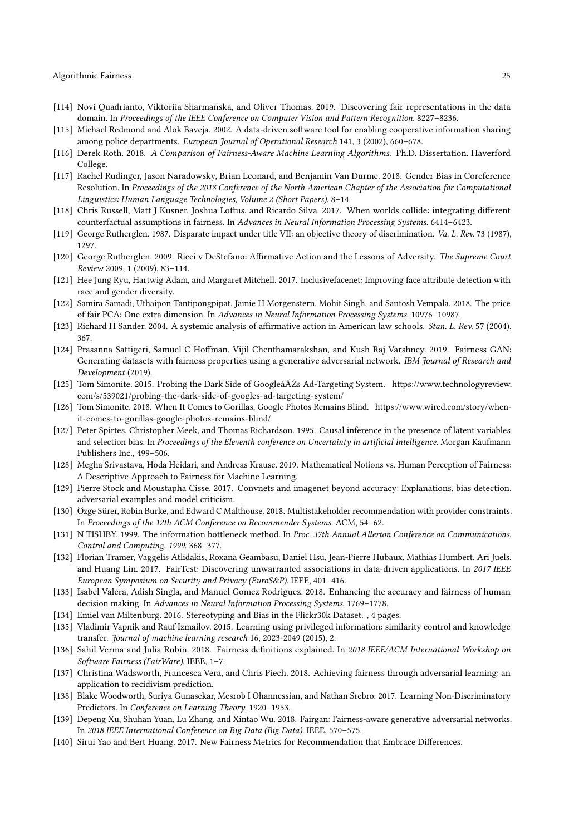- <span id="page-24-15"></span>[114] Novi Quadrianto, Viktoriia Sharmanska, and Oliver Thomas. 2019. Discovering fair representations in the data domain. In Proceedings of the IEEE Conference on Computer Vision and Pattern Recognition. 8227-8236.
- <span id="page-24-11"></span>[115] Michael Redmond and Alok Baveja. 2002. A data-driven software tool for enabling cooperative information sharing among police departments. European Journal of Operational Research 141, 3 (2002), 660–678.
- <span id="page-24-7"></span>[116] Derek Roth. 2018. A Comparison of Fairness-Aware Machine Learning Algorithms. Ph.D. Dissertation. Haverford College.
- <span id="page-24-17"></span>[117] Rachel Rudinger, Jason Naradowsky, Brian Leonard, and Benjamin Van Durme. 2018. Gender Bias in Coreference Resolution. In Proceedings of the 2018 Conference of the North American Chapter of the Association for Computational Linguistics: Human Language Technologies, Volume 2 (Short Papers). 8–14.
- <span id="page-24-24"></span>[118] Chris Russell, Matt J Kusner, Joshua Loftus, and Ricardo Silva. 2017. When worlds collide: integrating different counterfactual assumptions in fairness. In Advances in Neural Information Processing Systems. 6414–6423.
- <span id="page-24-1"></span>[119] George Rutherglen. 1987. Disparate impact under title VII: an objective theory of discrimination. Va. L. Rev. 73 (1987), 1297.
- <span id="page-24-8"></span>[120] George Rutherglen. 2009. Ricci v DeStefano: Affirmative Action and the Lessons of Adversity. The Supreme Court Review 2009, 1 (2009), 83–114.
- <span id="page-24-21"></span>[121] Hee Jung Ryu, Hartwig Adam, and Margaret Mitchell. 2017. Inclusivefacenet: Improving face attribute detection with race and gender diversity.
- <span id="page-24-3"></span>[122] Samira Samadi, Uthaipon Tantipongpipat, Jamie H Morgenstern, Mohit Singh, and Santosh Vempala. 2018. The price of fair PCA: One extra dimension. In Advances in Neural Information Processing Systems. 10976–10987.
- <span id="page-24-10"></span>[123] Richard H Sander. 2004. A systemic analysis of affirmative action in American law schools. Stan. L. Rev. 57 (2004), 367.
- <span id="page-24-16"></span>[124] Prasanna Sattigeri, Samuel C Hoffman, Vijil Chenthamarakshan, and Kush Raj Varshney. 2019. Fairness GAN: Generating datasets with fairness properties using a generative adversarial network. IBM Journal of Research and Development (2019).
- <span id="page-24-0"></span>[125] Tom Simonite. 2015. Probing the Dark Side of GoogleâĂŹs Ad-Targeting System. [https://www.technologyreview.](https://www.technologyreview.com/s/539021/probing-the-dark-side-of-googles-ad-targeting-system/) [com/s/539021/probing-the-dark-side-of-googles-ad-targeting-system/](https://www.technologyreview.com/s/539021/probing-the-dark-side-of-googles-ad-targeting-system/)
- <span id="page-24-18"></span>[126] Tom Simonite. 2018. When It Comes to Gorillas, Google Photos Remains Blind. [https://www.wired.com/story/when](https://www.wired.com/story/when-it-comes-to-gorillas-google-photos-remains-blind/)[it-comes-to-gorillas-google-photos-remains-blind/](https://www.wired.com/story/when-it-comes-to-gorillas-google-photos-remains-blind/)
- <span id="page-24-25"></span>[127] Peter Spirtes, Christopher Meek, and Thomas Richardson. 1995. Causal inference in the presence of latent variables and selection bias. In Proceedings of the Eleventh conference on Uncertainty in artificial intelligence. Morgan Kaufmann Publishers Inc., 499–506.
- <span id="page-24-26"></span>[128] Megha Srivastava, Hoda Heidari, and Andreas Krause. 2019. Mathematical Notions vs. Human Perception of Fairness: A Descriptive Approach to Fairness for Machine Learning.
- <span id="page-24-19"></span>[129] Pierre Stock and Moustapha Cisse. 2017. Convnets and imagenet beyond accuracy: Explanations, bias detection, adversarial examples and model criticism.
- <span id="page-24-23"></span>[130] Özge Sürer, Robin Burke, and Edward C Malthouse. 2018. Multistakeholder recommendation with provider constraints. In Proceedings of the 12th ACM Conference on Recommender Systems. ACM, 54–62.
- <span id="page-24-4"></span>[131] N TISHBY. 1999. The information bottleneck method. In Proc. 37th Annual Allerton Conference on Communications, Control and Computing, 1999. 368–377.
- <span id="page-24-9"></span>[132] Florian Tramer, Vaggelis Atlidakis, Roxana Geambasu, Daniel Hsu, Jean-Pierre Hubaux, Mathias Humbert, Ari Juels, and Huang Lin. 2017. FairTest: Discovering unwarranted associations in data-driven applications. In 2017 IEEE European Symposium on Security and Privacy (EuroS&P). IEEE, 401–416.
- <span id="page-24-12"></span>[133] Isabel Valera, Adish Singla, and Manuel Gomez Rodriguez. 2018. Enhancing the accuracy and fairness of human decision making. In Advances in Neural Information Processing Systems. 1769–1778.
- <span id="page-24-20"></span>[134] Emiel van Miltenburg. 2016. Stereotyping and Bias in the Flickr30k Dataset. , 4 pages.
- <span id="page-24-6"></span>[135] Vladimir Vapnik and Rauf Izmailov. 2015. Learning using privileged information: similarity control and knowledge transfer. Journal of machine learning research 16, 2023-2049 (2015), 2.
- <span id="page-24-2"></span>[136] Sahil Verma and Julia Rubin. 2018. Fairness definitions explained. In 2018 IEEE/ACM International Workshop on Software Fairness (FairWare). IEEE, 1–7.
- <span id="page-24-13"></span>[137] Christina Wadsworth, Francesca Vera, and Chris Piech. 2018. Achieving fairness through adversarial learning: an application to recidivism prediction.
- <span id="page-24-5"></span>[138] Blake Woodworth, Suriya Gunasekar, Mesrob I Ohannessian, and Nathan Srebro. 2017. Learning Non-Discriminatory Predictors. In Conference on Learning Theory. 1920–1953.
- <span id="page-24-14"></span>[139] Depeng Xu, Shuhan Yuan, Lu Zhang, and Xintao Wu. 2018. Fairgan: Fairness-aware generative adversarial networks. In 2018 IEEE International Conference on Big Data (Big Data). IEEE, 570–575.
- <span id="page-24-22"></span>[140] Sirui Yao and Bert Huang. 2017. New Fairness Metrics for Recommendation that Embrace Differences.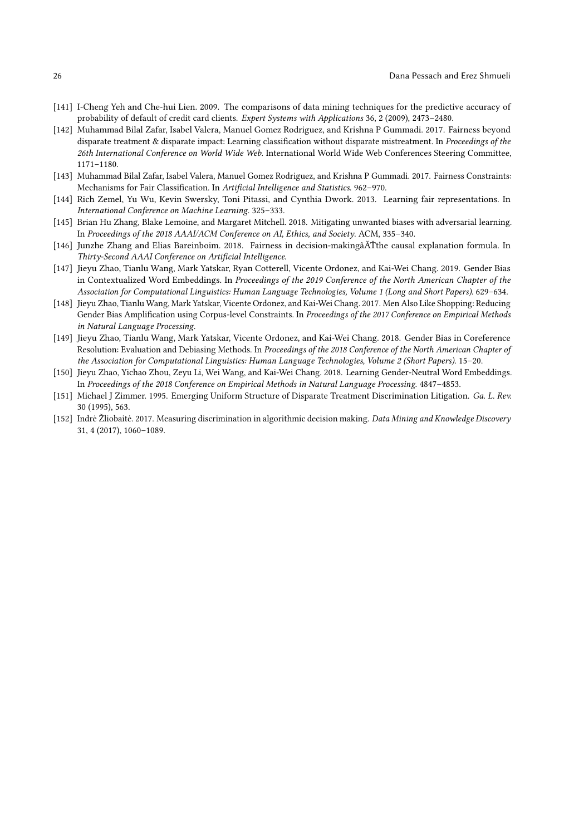- <span id="page-25-5"></span>[141] I-Cheng Yeh and Che-hui Lien. 2009. The comparisons of data mining techniques for the predictive accuracy of probability of default of credit card clients. Expert Systems with Applications 36, 2 (2009), 2473–2480.
- <span id="page-25-2"></span>[142] Muhammad Bilal Zafar, Isabel Valera, Manuel Gomez Rodriguez, and Krishna P Gummadi. 2017. Fairness beyond disparate treatment & disparate impact: Learning classification without disparate mistreatment. In Proceedings of the 26th International Conference on World Wide Web. International World Wide Web Conferences Steering Committee, 1171–1180.
- <span id="page-25-4"></span>[143] Muhammad Bilal Zafar, Isabel Valera, Manuel Gomez Rodriguez, and Krishna P Gummadi. 2017. Fairness Constraints: Mechanisms for Fair Classification. In Artificial Intelligence and Statistics. 962–970.
- <span id="page-25-3"></span>[144] Rich Zemel, Yu Wu, Kevin Swersky, Toni Pitassi, and Cynthia Dwork. 2013. Learning fair representations. In International Conference on Machine Learning. 325–333.
- <span id="page-25-6"></span>[145] Brian Hu Zhang, Blake Lemoine, and Margaret Mitchell. 2018. Mitigating unwanted biases with adversarial learning. In Proceedings of the 2018 AAAI/ACM Conference on AI, Ethics, and Society. ACM, 335–340.
- <span id="page-25-11"></span>[146] Junzhe Zhang and Elias Bareinboim. 2018. Fairness in decision-makingâĂŤthe causal explanation formula. In Thirty-Second AAAI Conference on Artificial Intelligence.
- <span id="page-25-8"></span>[147] Jieyu Zhao, Tianlu Wang, Mark Yatskar, Ryan Cotterell, Vicente Ordonez, and Kai-Wei Chang. 2019. Gender Bias in Contextualized Word Embeddings. In Proceedings of the 2019 Conference of the North American Chapter of the Association for Computational Linguistics: Human Language Technologies, Volume 1 (Long and Short Papers). 629–634.
- <span id="page-25-10"></span>[148] Jieyu Zhao, Tianlu Wang, Mark Yatskar, Vicente Ordonez, and Kai-Wei Chang. 2017. Men Also Like Shopping: Reducing Gender Bias Amplification using Corpus-level Constraints. In Proceedings of the 2017 Conference on Empirical Methods in Natural Language Processing.
- <span id="page-25-9"></span>[149] Jieyu Zhao, Tianlu Wang, Mark Yatskar, Vicente Ordonez, and Kai-Wei Chang. 2018. Gender Bias in Coreference Resolution: Evaluation and Debiasing Methods. In Proceedings of the 2018 Conference of the North American Chapter of the Association for Computational Linguistics: Human Language Technologies, Volume 2 (Short Papers). 15–20.
- <span id="page-25-7"></span>[150] Jieyu Zhao, Yichao Zhou, Zeyu Li, Wei Wang, and Kai-Wei Chang. 2018. Learning Gender-Neutral Word Embeddings. In Proceedings of the 2018 Conference on Empirical Methods in Natural Language Processing. 4847–4853.
- <span id="page-25-0"></span>[151] Michael J Zimmer. 1995. Emerging Uniform Structure of Disparate Treatment Discrimination Litigation. Ga. L. Rev. 30 (1995), 563.
- <span id="page-25-1"></span>[152] Indre Žliobaitė. 2017. Measuring discrimination in algorithmic decision making. Data Mining and Knowledge Discovery 31, 4 (2017), 1060–1089.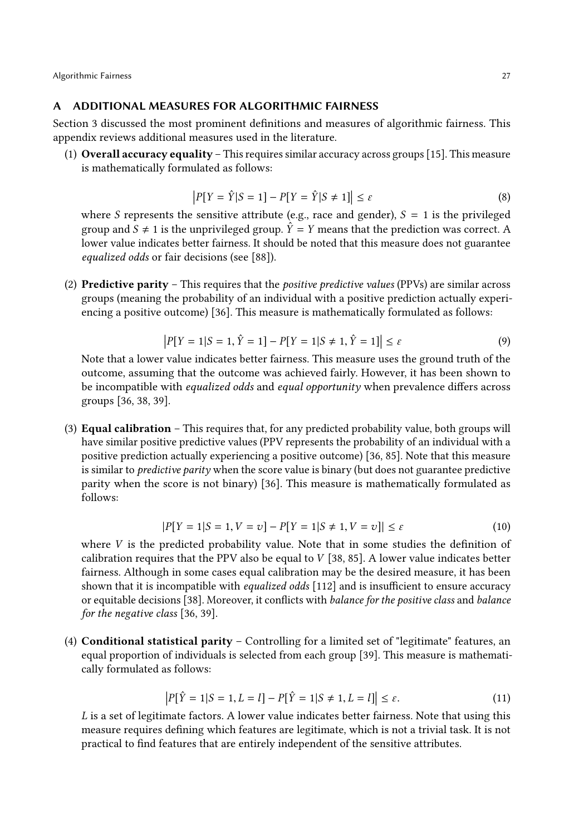#### A ADDITIONAL MEASURES FOR ALGORITHMIC FAIRNESS

Section [3](#page-2-0) discussed the most prominent definitions and measures of algorithmic fairness. This appendix reviews additional measures used in the literature.

(1) Overall accuracy equality – This requires similar accuracy across groups [\[15\]](#page-20-1). This measure is mathematically formulated as follows:

$$
|P[Y = \hat{Y}|S = 1] - P[Y = \hat{Y}|S \neq 1]| \le \varepsilon
$$
\n(8)

where S represents the sensitive attribute (e.g., race and gender),  $S = 1$  is the privileged<br>group and  $S \neq 1$  is the unprivileged group  $\hat{Y} = Y$  means that the prediction was correct. A group and  $S \neq 1$  is the unprivileged group.  $\hat{Y} = Y$  means that the prediction was correct. A lower value indicates better fairness. It should be noted that this measure does not guarantee equalized odds or fair decisions (see [\[88\]](#page-23-10)).

(2) **Predictive parity** – This requires that the *positive predictive values* (PPVs) are similar across groups (meaning the probability of an individual with a positive prediction actually experiencing a positive outcome) [\[36\]](#page-21-0). This measure is mathematically formulated as follows:

$$
|P[Y=1|S=1, \hat{Y}=1] - P[Y=1|S \neq 1, \hat{Y}=1]| \le \varepsilon
$$
\n(9)

 $|P[Y = 1|S = 1, \hat{Y} = 1] - P[Y = 1|S \neq 1, \hat{Y} = 1]| \le \varepsilon$  (9)<br>Note that a lower value indicates better fairness. This measure uses the ground truth of the outcome, assuming that the outcome was achieved fairly. However, it has been shown to be incompatible with *equalized odds* and *equal opportunity* when prevalence differs across groups [\[36,](#page-21-0) [38,](#page-21-8) [39\]](#page-21-9).

(3) Equal calibration – This requires that, for any predicted probability value, both groups will have similar positive predictive values (PPV represents the probability of an individual with a positive prediction actually experiencing a positive outcome) [\[36,](#page-21-0) [85\]](#page-22-0). Note that this measure is similar to *predictive parity* when the score value is binary (but does not guarantee predictive parity when the score is not binary) [\[36\]](#page-21-0). This measure is mathematically formulated as follows:

$$
|P[Y = 1|S = 1, V = v] - P[Y = 1|S \neq 1, V = v]| \le \varepsilon
$$
 (10)

where *V* is the predicted probability value. Note that in some studies the definition of calibration requires that the PPV also be equal to *V* [38, 85]. A lower value indicates better calibration requires that the PPV also be equal to  $V$  [\[38,](#page-21-8) [85\]](#page-22-0). A lower value indicates better fairness. Although in some cases equal calibration may be the desired measure, it has been shown that it is incompatible with *equalized odds* [\[112\]](#page-23-1) and is insufficient to ensure accuracy or equitable decisions [\[38\]](#page-21-8). Moreover, it conflicts with balance for the positive class and balance for the negative class [\[36,](#page-21-0) [39\]](#page-21-9).

(4) Conditional statistical parity – Controlling for a limited set of "legitimate" features, an equal proportion of individuals is selected from each group [\[39\]](#page-21-9). This measure is mathematically formulated as follows:

$$
|P[\hat{Y} = 1|S = 1, L = l] - P[\hat{Y} = 1|S \neq 1, L = l]| \le \varepsilon.
$$
 (11)

L is a set of legitimate factors. A lower value indicates better fairness. Note that using this measure requires defining which features are legitimate, which is not a trivial task. It is not practical to find features that are entirely independent of the sensitive attributes.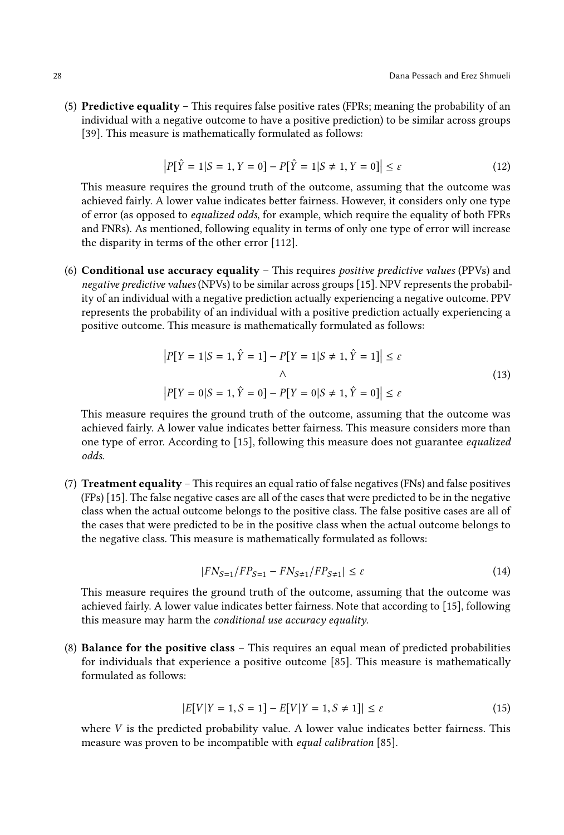(5) Predictive equality – This requires false positive rates (FPRs; meaning the probability of an individual with a negative outcome to have a positive prediction) to be similar across groups [\[39\]](#page-21-9). This measure is mathematically formulated as follows:

$$
|P[\hat{Y} = 1|S = 1, Y = 0] - P[\hat{Y} = 1|S \neq 1, Y = 0]| \le \varepsilon
$$
\n(12)

This measure requires the ground truth of the outcome, assuming that the outcome was achieved fairly. A lower value indicates better fairness. However, it considers only one type of error (as opposed to equalized odds, for example, which require the equality of both FPRs and FNRs). As mentioned, following equality in terms of only one type of error will increase the disparity in terms of the other error [\[112\]](#page-23-1).

(6) Conditional use accuracy equality – This requires positive predictive values (PPVs) and negative predictive values (NPVs) to be similar across groups [\[15\]](#page-20-1). NPV represents the probability of an individual with a negative prediction actually experiencing a negative outcome. PPV represents the probability of an individual with a positive prediction actually experiencing a positive outcome. This measure is mathematically formulated as follows:

$$
|P[Y = 1|S = 1, \hat{Y} = 1] - P[Y = 1|S \neq 1, \hat{Y} = 1]| \le \varepsilon
$$
  

$$
\wedge
$$
  

$$
|P[Y = 0|S = 1, \hat{Y} = 0] - P[Y = 0|S \neq 1, \hat{Y} = 0]| \le \varepsilon
$$
  
(13)

This measure requires the ground truth of the outcome, assuming that the outcome was achieved fairly. A lower value indicates better fairness. This measure considers more than one type of error. According to [\[15\]](#page-20-1), following this measure does not guarantee equalized odds.

(7) Treatment equality – This requires an equal ratio of false negatives (FNs) and false positives (FPs) [\[15\]](#page-20-1). The false negative cases are all of the cases that were predicted to be in the negative class when the actual outcome belongs to the positive class. The false positive cases are all of the cases that were predicted to be in the positive class when the actual outcome belongs to the negative class. This measure is mathematically formulated as follows:

$$
|FN_{S=1}/FP_{S=1} - FN_{S\neq 1}/FP_{S\neq 1}| \le \varepsilon
$$
\n(14)

This measure requires the ground truth of the outcome, assuming that the outcome was achieved fairly. A lower value indicates better fairness. Note that according to [\[15\]](#page-20-1), following this measure may harm the conditional use accuracy equality.

(8) Balance for the positive class – This requires an equal mean of predicted probabilities for individuals that experience a positive outcome [\[85\]](#page-22-0). This measure is mathematically formulated as follows:

$$
|E[V|Y = 1, S = 1] - E[V|Y = 1, S \neq 1]| \le \varepsilon
$$
\n(15)

where  $V$  is the predicted probability value. A lower value indicates better fairness. This measure was proven to be incompatible with equal calibration [\[85\]](#page-22-0).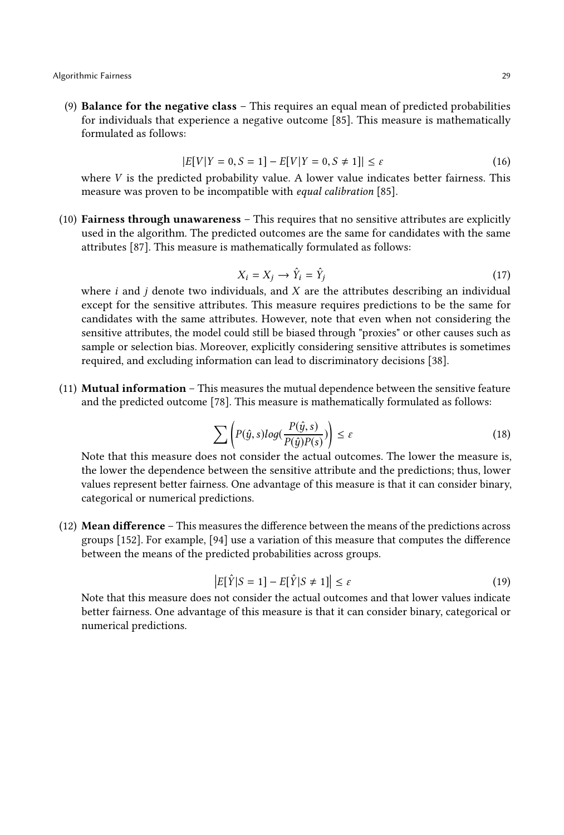(9) Balance for the negative class – This requires an equal mean of predicted probabilities for individuals that experience a negative outcome [\[85\]](#page-22-0). This measure is mathematically formulated as follows:

$$
|E[V|Y=0, S=1]-E[V|Y=0, S \neq 1]| \le \varepsilon
$$
\n
$$
|E[V|Y=0, S \neq 1]| \le \varepsilon
$$
\n
$$
|E[V|Y=0, S \neq 1]| \le \varepsilon
$$
\n
$$
|E[V|Y=0, S \neq 1]| \le \varepsilon
$$
\n
$$
|E[V|Y=0, S \neq 1]| \le \varepsilon
$$
\n
$$
|E[V|Y=0, S \neq 1]| \le \varepsilon
$$
\n
$$
|E[V|Y=0, S \neq 1]| \le \varepsilon
$$
\n
$$
|E[V|Y=0, S \neq 1]| \le \varepsilon
$$
\n
$$
|E[V|Y=0, S \neq 1]| \le \varepsilon
$$

where  $V$  is the predicted probability value. A lower value indicates better fairness. This measure was proven to be incompatible with *equal calibration*  $[85]$ measure was proven to be incompatible with equal calibration [\[85\]](#page-22-0).

(10) Fairness through unawareness – This requires that no sensitive attributes are explicitly used in the algorithm. The predicted outcomes are the same for candidates with the same attributes [\[87\]](#page-23-24). This measure is mathematically formulated as follows:

$$
X_i = X_j \to \hat{Y}_i = \hat{Y}_j \tag{17}
$$

 $X_i = X_j \rightarrow \hat{Y}_i = \hat{Y}_j$  (17)<br>where *i* and *j* denote two individuals, and *X* are the attributes describing an individual<br>except for the sensitive attributes. This measure requires predictions to be the same for except for the sensitive attributes. This measure requires predictions to be the same for candidates with the same attributes. However, note that even when not considering the sensitive attributes, the model could still be biased through "proxies" or other causes such as sample or selection bias. Moreover, explicitly considering sensitive attributes is sometimes required, and excluding information can lead to discriminatory decisions [\[38\]](#page-21-8).

(11) Mutual information – This measures the mutual dependence between the sensitive feature and the predicted outcome [\[78\]](#page-22-22). This measure is mathematically formulated as follows:

$$
\sum \left( P(\hat{y}, s) log(\frac{P(\hat{y}, s)}{P(\hat{y})P(s)}) \right) \le \varepsilon
$$
\n(18)

Note that this measure does not consider the actual outcomes. The lower the measure is, the lower the dependence between the sensitive attribute and the predictions; thus, lower values represent better fairness. One advantage of this measure is that it can consider binary, categorical or numerical predictions.

(12) Mean difference – This measures the difference between the means of the predictions across groups [\[152\]](#page-25-1). For example, [\[94\]](#page-23-5) use a variation of this measure that computes the difference between the means of the predicted probabilities across groups.

$$
\left| E[\hat{Y}|S=1] - E[\hat{Y}|S\neq 1] \right| \le \varepsilon \tag{19}
$$

 $|E[\hat{Y}|S=1] - E[\hat{Y}|S \neq 1]|$  ≤  $\varepsilon$  (19)<br>Note that this measure does not consider the actual outcomes and that lower values indicate better fairness. One advantage of this measure is that it can consider binary, categorical or numerical predictions.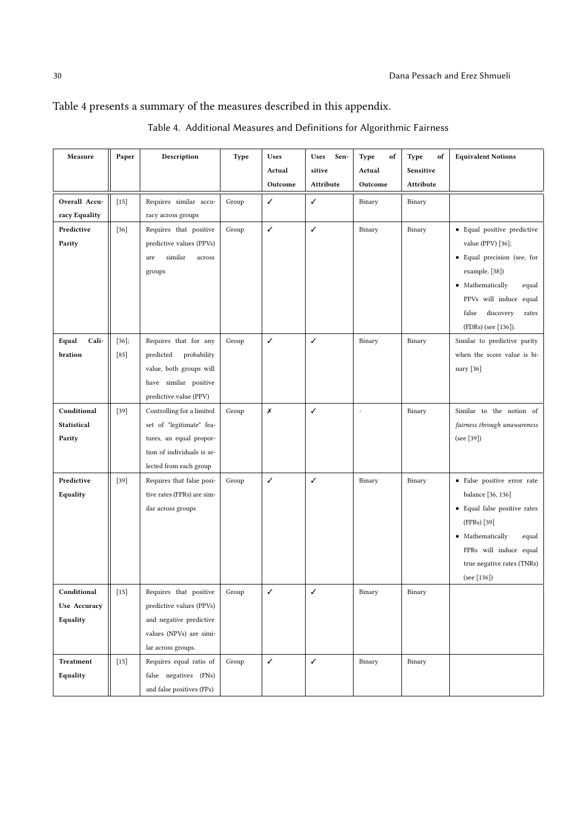# <span id="page-29-0"></span>Table [4](#page-29-0) presents a summary of the measures described in this appendix.

| Measure          | Paper    | Description                 | Type  | Uses    | Uses<br>Sen- | Type<br>of | Type<br>of | <b>Equivalent Notions</b>                           |
|------------------|----------|-----------------------------|-------|---------|--------------|------------|------------|-----------------------------------------------------|
|                  |          |                             |       | Actual  | sitive       | Actual     | Sensitive  |                                                     |
|                  |          |                             |       | Outcome | Attribute    | Outcome    | Attribute  |                                                     |
| Overall Accu-    | $[15]$   | Requires similar accu-      | Group | ✓       | ✓            | Binary     | Binary     |                                                     |
| racy Equality    |          | racy across groups          |       |         |              |            |            |                                                     |
| Predictive       | $[36]$   | Requires that positive      | Group | ✓       | ✓            | Binary     | Binary     | • Equal positive predictive                         |
| Parity           |          | predictive values (PPVs)    |       |         |              |            |            | value (PPV) [36];                                   |
|                  |          | similar<br>$\arccos$<br>are |       |         |              |            |            | · Equal precision (see, for                         |
|                  |          | groups                      |       |         |              |            |            | example, [38])                                      |
|                  |          |                             |       |         |              |            |            | • Mathematically<br>equal                           |
|                  |          |                             |       |         |              |            |            | PPVs will induce equal                              |
|                  |          |                             |       |         |              |            |            | false<br>discovery<br>rates                         |
|                  |          |                             |       |         |              |            |            | (FDRs) (see [136]).                                 |
| Cali-<br>Equal   | $[36]$ ; | Requires that for any       | Group | ✓       | $\checkmark$ | Binary     | Binary     | Similar to predictive parity                        |
| bration          | $[85]$   | probability<br>predicted    |       |         |              |            |            | when the score value is bi-                         |
|                  |          | value, both groups will     |       |         |              |            |            | nary [36]                                           |
|                  |          | have similar positive       |       |         |              |            |            |                                                     |
|                  |          | predictive value (PPV)      |       |         |              |            |            |                                                     |
| Conditional      | $[39]$   | Controlling for a limited   | Group | X       | $\checkmark$ |            | Binary     | Similar to the notion of                            |
| Statistical      |          | set of "legitimate" fea-    |       |         |              |            |            | fairness through unawareness                        |
| Parity           |          | tures, an equal propor-     |       |         |              |            |            | (see [39])                                          |
|                  |          | tion of individuals is se-  |       |         |              |            |            |                                                     |
|                  |          | lected from each group      |       |         |              |            |            |                                                     |
| Predictive       | $[39]$   | Requires that false posi-   | Group | ✓       | $\checkmark$ | Binary     | Binary     | · False positive error rate                         |
| Equality         |          | tive rates (FPRs) are sim-  |       |         |              |            |            | balance [36, 136]                                   |
|                  |          | ilar across groups          |       |         |              |            |            | • Equal false positive rates                        |
|                  |          |                             |       |         |              |            |            | (FPRs) [39]                                         |
|                  |          |                             |       |         |              |            |            | • Mathematically<br>equal<br>FPRs will induce equal |
|                  |          |                             |       |         |              |            |            | true negative rates (TNRs)                          |
|                  |          |                             |       |         |              |            |            | (see [136])                                         |
| Conditional      | $[15]$   | Requires that positive      | Group | ✓       | ✓            | Binary     | Binary     |                                                     |
| Use Accuracy     |          | predictive values (PPVs)    |       |         |              |            |            |                                                     |
| Equality         |          | and negative predictive     |       |         |              |            |            |                                                     |
|                  |          | values (NPVs) are simi-     |       |         |              |            |            |                                                     |
|                  |          | lar across groups.          |       |         |              |            |            |                                                     |
| <b>Treatment</b> | $[15]$   | Requires equal ratio of     | Group | ✓       | ✓            | Binary     | Binary     |                                                     |
| Equality         |          | false negatives (FNs)       |       |         |              |            |            |                                                     |
|                  |          | and false positives (FPs)   |       |         |              |            |            |                                                     |

| Table 4. Additional Measures and Definitions for Algorithmic Fairness |  |
|-----------------------------------------------------------------------|--|
|-----------------------------------------------------------------------|--|